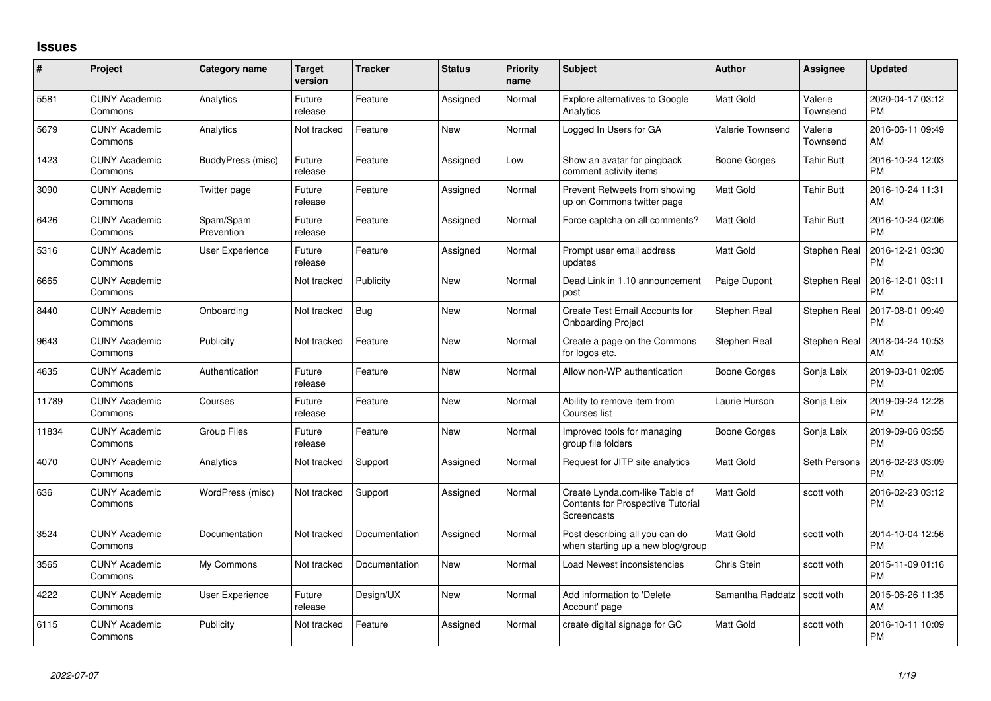## **Issues**

| #     | Project                         | <b>Category name</b>    | <b>Target</b><br>version | <b>Tracker</b> | <b>Status</b> | <b>Priority</b><br>name | Subject                                                                            | <b>Author</b>    | Assignee            | <b>Updated</b>                |
|-------|---------------------------------|-------------------------|--------------------------|----------------|---------------|-------------------------|------------------------------------------------------------------------------------|------------------|---------------------|-------------------------------|
| 5581  | <b>CUNY Academic</b><br>Commons | Analytics               | Future<br>release        | Feature        | Assigned      | Normal                  | Explore alternatives to Google<br>Analytics                                        | Matt Gold        | Valerie<br>Townsend | 2020-04-17 03:12<br><b>PM</b> |
| 5679  | <b>CUNY Academic</b><br>Commons | Analytics               | Not tracked              | Feature        | New           | Normal                  | Logged In Users for GA                                                             | Valerie Townsend | Valerie<br>Townsend | 2016-06-11 09:49<br>AM        |
| 1423  | <b>CUNY Academic</b><br>Commons | BuddyPress (misc)       | Future<br>release        | Feature        | Assigned      | Low                     | Show an avatar for pingback<br>comment activity items                              | Boone Gorges     | Tahir Butt          | 2016-10-24 12:03<br><b>PM</b> |
| 3090  | <b>CUNY Academic</b><br>Commons | Twitter page            | Future<br>release        | Feature        | Assigned      | Normal                  | Prevent Retweets from showing<br>up on Commons twitter page                        | <b>Matt Gold</b> | Tahir Butt          | 2016-10-24 11:31<br>AM        |
| 6426  | <b>CUNY Academic</b><br>Commons | Spam/Spam<br>Prevention | Future<br>release        | Feature        | Assigned      | Normal                  | Force captcha on all comments?                                                     | <b>Matt Gold</b> | Tahir Butt          | 2016-10-24 02:06<br><b>PM</b> |
| 5316  | <b>CUNY Academic</b><br>Commons | <b>User Experience</b>  | Future<br>release        | Feature        | Assigned      | Normal                  | Prompt user email address<br>updates                                               | <b>Matt Gold</b> | Stephen Real        | 2016-12-21 03:30<br><b>PM</b> |
| 6665  | <b>CUNY Academic</b><br>Commons |                         | Not tracked              | Publicity      | <b>New</b>    | Normal                  | Dead Link in 1.10 announcement<br>post                                             | Paige Dupont     | Stephen Real        | 2016-12-01 03:11<br><b>PM</b> |
| 8440  | <b>CUNY Academic</b><br>Commons | Onboarding              | Not tracked              | <b>Bug</b>     | New           | Normal                  | Create Test Email Accounts for<br><b>Onboarding Project</b>                        | Stephen Real     | Stephen Real        | 2017-08-01 09:49<br><b>PM</b> |
| 9643  | <b>CUNY Academic</b><br>Commons | Publicity               | Not tracked              | Feature        | <b>New</b>    | Normal                  | Create a page on the Commons<br>for logos etc.                                     | Stephen Real     | Stephen Real        | 2018-04-24 10:53<br>AM        |
| 4635  | <b>CUNY Academic</b><br>Commons | Authentication          | Future<br>release        | Feature        | New           | Normal                  | Allow non-WP authentication                                                        | Boone Gorges     | Sonja Leix          | 2019-03-01 02:05<br><b>PM</b> |
| 11789 | <b>CUNY Academic</b><br>Commons | Courses                 | Future<br>release        | Feature        | <b>New</b>    | Normal                  | Ability to remove item from<br>Courses list                                        | Laurie Hurson    | Sonja Leix          | 2019-09-24 12:28<br><b>PM</b> |
| 11834 | <b>CUNY Academic</b><br>Commons | <b>Group Files</b>      | Future<br>release        | Feature        | <b>New</b>    | Normal                  | Improved tools for managing<br>group file folders                                  | Boone Gorges     | Sonja Leix          | 2019-09-06 03:55<br><b>PM</b> |
| 4070  | <b>CUNY Academic</b><br>Commons | Analytics               | Not tracked              | Support        | Assigned      | Normal                  | Request for JITP site analytics                                                    | <b>Matt Gold</b> | Seth Persons        | 2016-02-23 03:09<br><b>PM</b> |
| 636   | <b>CUNY Academic</b><br>Commons | WordPress (misc)        | Not tracked              | Support        | Assigned      | Normal                  | Create Lynda.com-like Table of<br>Contents for Prospective Tutorial<br>Screencasts | <b>Matt Gold</b> | scott voth          | 2016-02-23 03:12<br><b>PM</b> |
| 3524  | <b>CUNY Academic</b><br>Commons | Documentation           | Not tracked              | Documentation  | Assigned      | Normal                  | Post describing all you can do<br>when starting up a new blog/group                | Matt Gold        | scott voth          | 2014-10-04 12:56<br><b>PM</b> |
| 3565  | <b>CUNY Academic</b><br>Commons | My Commons              | Not tracked              | Documentation  | New           | Normal                  | Load Newest inconsistencies                                                        | Chris Stein      | scott voth          | 2015-11-09 01:16<br><b>PM</b> |
| 4222  | <b>CUNY Academic</b><br>Commons | User Experience         | Future<br>release        | Design/UX      | New           | Normal                  | Add information to 'Delete<br>Account' page                                        | Samantha Raddatz | scott voth          | 2015-06-26 11:35<br>AM        |
| 6115  | <b>CUNY Academic</b><br>Commons | Publicity               | Not tracked              | Feature        | Assigned      | Normal                  | create digital signage for GC                                                      | <b>Matt Gold</b> | scott voth          | 2016-10-11 10:09<br><b>PM</b> |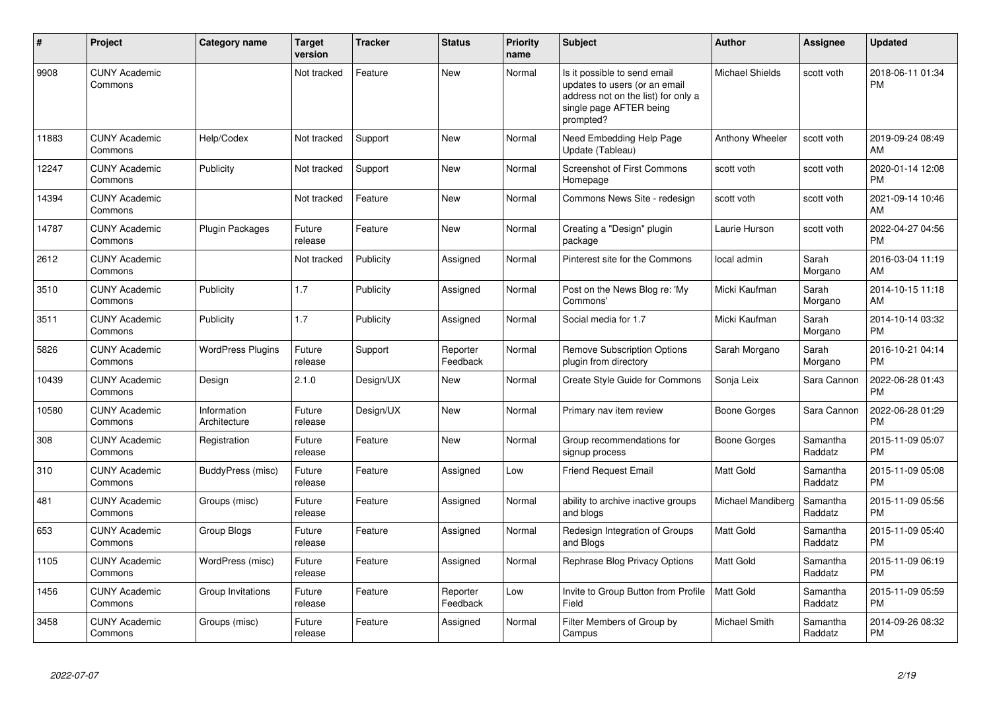| #     | <b>Project</b>                  | Category name               | <b>Target</b><br>version | <b>Tracker</b> | <b>Status</b>        | Priority<br>name | <b>Subject</b>                                                                                                                               | Author                 | <b>Assignee</b>     | <b>Updated</b>                |
|-------|---------------------------------|-----------------------------|--------------------------|----------------|----------------------|------------------|----------------------------------------------------------------------------------------------------------------------------------------------|------------------------|---------------------|-------------------------------|
| 9908  | <b>CUNY Academic</b><br>Commons |                             | Not tracked              | Feature        | <b>New</b>           | Normal           | Is it possible to send email<br>updates to users (or an email<br>address not on the list) for only a<br>single page AFTER being<br>prompted? | <b>Michael Shields</b> | scott voth          | 2018-06-11 01:34<br><b>PM</b> |
| 11883 | <b>CUNY Academic</b><br>Commons | Help/Codex                  | Not tracked              | Support        | <b>New</b>           | Normal           | Need Embedding Help Page<br>Update (Tableau)                                                                                                 | Anthony Wheeler        | scott voth          | 2019-09-24 08:49<br>AM        |
| 12247 | <b>CUNY Academic</b><br>Commons | Publicity                   | Not tracked              | Support        | <b>New</b>           | Normal           | <b>Screenshot of First Commons</b><br>Homepage                                                                                               | scott voth             | scott voth          | 2020-01-14 12:08<br><b>PM</b> |
| 14394 | <b>CUNY Academic</b><br>Commons |                             | Not tracked              | Feature        | <b>New</b>           | Normal           | Commons News Site - redesign                                                                                                                 | scott voth             | scott voth          | 2021-09-14 10:46<br>AM        |
| 14787 | <b>CUNY Academic</b><br>Commons | Plugin Packages             | Future<br>release        | Feature        | New                  | Normal           | Creating a "Design" plugin<br>package                                                                                                        | Laurie Hurson          | scott voth          | 2022-04-27 04:56<br><b>PM</b> |
| 2612  | <b>CUNY Academic</b><br>Commons |                             | Not tracked              | Publicity      | Assigned             | Normal           | Pinterest site for the Commons                                                                                                               | local admin            | Sarah<br>Morgano    | 2016-03-04 11:19<br>AM        |
| 3510  | <b>CUNY Academic</b><br>Commons | Publicity                   | 1.7                      | Publicity      | Assigned             | Normal           | Post on the News Blog re: 'My<br>Commons'                                                                                                    | Micki Kaufman          | Sarah<br>Morgano    | 2014-10-15 11:18<br>AM        |
| 3511  | <b>CUNY Academic</b><br>Commons | Publicity                   | 1.7                      | Publicity      | Assigned             | Normal           | Social media for 1.7                                                                                                                         | Micki Kaufman          | Sarah<br>Morgano    | 2014-10-14 03:32<br><b>PM</b> |
| 5826  | <b>CUNY Academic</b><br>Commons | <b>WordPress Plugins</b>    | Future<br>release        | Support        | Reporter<br>Feedback | Normal           | <b>Remove Subscription Options</b><br>plugin from directory                                                                                  | Sarah Morgano          | Sarah<br>Morgano    | 2016-10-21 04:14<br><b>PM</b> |
| 10439 | <b>CUNY Academic</b><br>Commons | Design                      | 2.1.0                    | Design/UX      | New                  | Normal           | <b>Create Style Guide for Commons</b>                                                                                                        | Sonja Leix             | Sara Cannon         | 2022-06-28 01:43<br><b>PM</b> |
| 10580 | <b>CUNY Academic</b><br>Commons | Information<br>Architecture | Future<br>release        | Design/UX      | <b>New</b>           | Normal           | Primary nav item review                                                                                                                      | <b>Boone Gorges</b>    | Sara Cannon         | 2022-06-28 01:29<br><b>PM</b> |
| 308   | <b>CUNY Academic</b><br>Commons | Registration                | Future<br>release        | Feature        | <b>New</b>           | Normal           | Group recommendations for<br>signup process                                                                                                  | <b>Boone Gorges</b>    | Samantha<br>Raddatz | 2015-11-09 05:07<br><b>PM</b> |
| 310   | <b>CUNY Academic</b><br>Commons | BuddyPress (misc)           | Future<br>release        | Feature        | Assigned             | Low              | <b>Friend Request Email</b>                                                                                                                  | <b>Matt Gold</b>       | Samantha<br>Raddatz | 2015-11-09 05:08<br><b>PM</b> |
| 481   | <b>CUNY Academic</b><br>Commons | Groups (misc)               | Future<br>release        | Feature        | Assigned             | Normal           | ability to archive inactive groups<br>and blogs                                                                                              | Michael Mandiberg      | Samantha<br>Raddatz | 2015-11-09 05:56<br><b>PM</b> |
| 653   | <b>CUNY Academic</b><br>Commons | <b>Group Blogs</b>          | Future<br>release        | Feature        | Assigned             | Normal           | Redesign Integration of Groups<br>and Blogs                                                                                                  | Matt Gold              | Samantha<br>Raddatz | 2015-11-09 05:40<br><b>PM</b> |
| 1105  | <b>CUNY Academic</b><br>Commons | WordPress (misc)            | Future<br>release        | Feature        | Assigned             | Normal           | Rephrase Blog Privacy Options                                                                                                                | Matt Gold              | Samantha<br>Raddatz | 2015-11-09 06:19<br><b>PM</b> |
| 1456  | <b>CUNY Academic</b><br>Commons | Group Invitations           | Future<br>release        | Feature        | Reporter<br>Feedback | Low              | Invite to Group Button from Profile<br>Field                                                                                                 | <b>Matt Gold</b>       | Samantha<br>Raddatz | 2015-11-09 05:59<br><b>PM</b> |
| 3458  | <b>CUNY Academic</b><br>Commons | Groups (misc)               | Future<br>release        | Feature        | Assigned             | Normal           | Filter Members of Group by<br>Campus                                                                                                         | Michael Smith          | Samantha<br>Raddatz | 2014-09-26 08:32<br><b>PM</b> |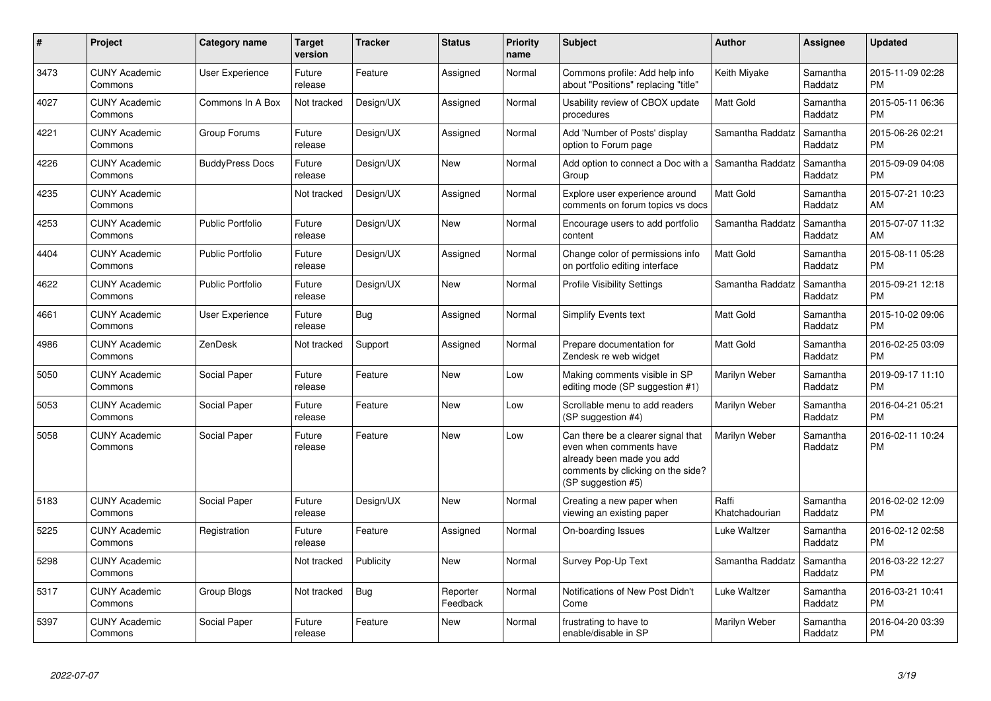| $\#$ | Project                         | Category name           | <b>Target</b><br>version | <b>Tracker</b> | <b>Status</b>        | <b>Priority</b><br>name | <b>Subject</b>                                                                                                                                        | <b>Author</b>           | Assignee            | <b>Updated</b>                |
|------|---------------------------------|-------------------------|--------------------------|----------------|----------------------|-------------------------|-------------------------------------------------------------------------------------------------------------------------------------------------------|-------------------------|---------------------|-------------------------------|
| 3473 | <b>CUNY Academic</b><br>Commons | <b>User Experience</b>  | Future<br>release        | Feature        | Assigned             | Normal                  | Commons profile: Add help info<br>about "Positions" replacing "title"                                                                                 | Keith Miyake            | Samantha<br>Raddatz | 2015-11-09 02:28<br><b>PM</b> |
| 4027 | <b>CUNY Academic</b><br>Commons | Commons In A Box        | Not tracked              | Design/UX      | Assigned             | Normal                  | Usability review of CBOX update<br>procedures                                                                                                         | <b>Matt Gold</b>        | Samantha<br>Raddatz | 2015-05-11 06:36<br><b>PM</b> |
| 4221 | <b>CUNY Academic</b><br>Commons | Group Forums            | Future<br>release        | Design/UX      | Assigned             | Normal                  | Add 'Number of Posts' display<br>option to Forum page                                                                                                 | Samantha Raddatz        | Samantha<br>Raddatz | 2015-06-26 02:21<br><b>PM</b> |
| 4226 | <b>CUNY Academic</b><br>Commons | <b>BuddyPress Docs</b>  | Future<br>release        | Design/UX      | New                  | Normal                  | Add option to connect a Doc with a<br>Group                                                                                                           | Samantha Raddatz        | Samantha<br>Raddatz | 2015-09-09 04:08<br><b>PM</b> |
| 4235 | <b>CUNY Academic</b><br>Commons |                         | Not tracked              | Design/UX      | Assigned             | Normal                  | Explore user experience around<br>comments on forum topics vs docs                                                                                    | <b>Matt Gold</b>        | Samantha<br>Raddatz | 2015-07-21 10:23<br>AM        |
| 4253 | <b>CUNY Academic</b><br>Commons | <b>Public Portfolio</b> | Future<br>release        | Design/UX      | New                  | Normal                  | Encourage users to add portfolio<br>content                                                                                                           | Samantha Raddatz        | Samantha<br>Raddatz | 2015-07-07 11:32<br>AM        |
| 4404 | <b>CUNY Academic</b><br>Commons | <b>Public Portfolio</b> | Future<br>release        | Design/UX      | Assigned             | Normal                  | Change color of permissions info<br>on portfolio editing interface                                                                                    | <b>Matt Gold</b>        | Samantha<br>Raddatz | 2015-08-11 05:28<br><b>PM</b> |
| 4622 | <b>CUNY Academic</b><br>Commons | <b>Public Portfolio</b> | Future<br>release        | Design/UX      | <b>New</b>           | Normal                  | <b>Profile Visibility Settings</b>                                                                                                                    | Samantha Raddatz        | Samantha<br>Raddatz | 2015-09-21 12:18<br><b>PM</b> |
| 4661 | <b>CUNY Academic</b><br>Commons | <b>User Experience</b>  | Future<br>release        | Bug            | Assigned             | Normal                  | <b>Simplify Events text</b>                                                                                                                           | <b>Matt Gold</b>        | Samantha<br>Raddatz | 2015-10-02 09:06<br><b>PM</b> |
| 4986 | <b>CUNY Academic</b><br>Commons | ZenDesk                 | Not tracked              | Support        | Assigned             | Normal                  | Prepare documentation for<br>Zendesk re web widget                                                                                                    | Matt Gold               | Samantha<br>Raddatz | 2016-02-25 03:09<br><b>PM</b> |
| 5050 | <b>CUNY Academic</b><br>Commons | Social Paper            | Future<br>release        | Feature        | New                  | Low                     | Making comments visible in SP<br>editing mode (SP suggestion #1)                                                                                      | Marilyn Weber           | Samantha<br>Raddatz | 2019-09-17 11:10<br><b>PM</b> |
| 5053 | <b>CUNY Academic</b><br>Commons | Social Paper            | Future<br>release        | Feature        | <b>New</b>           | Low                     | Scrollable menu to add readers<br>(SP suggestion #4)                                                                                                  | Marilyn Weber           | Samantha<br>Raddatz | 2016-04-21 05:21<br><b>PM</b> |
| 5058 | <b>CUNY Academic</b><br>Commons | Social Paper            | Future<br>release        | Feature        | <b>New</b>           | Low                     | Can there be a clearer signal that<br>even when comments have<br>already been made you add<br>comments by clicking on the side?<br>(SP suggestion #5) | Marilyn Weber           | Samantha<br>Raddatz | 2016-02-11 10:24<br><b>PM</b> |
| 5183 | <b>CUNY Academic</b><br>Commons | Social Paper            | Future<br>release        | Design/UX      | <b>New</b>           | Normal                  | Creating a new paper when<br>viewing an existing paper                                                                                                | Raffi<br>Khatchadourian | Samantha<br>Raddatz | 2016-02-02 12:09<br><b>PM</b> |
| 5225 | <b>CUNY Academic</b><br>Commons | Registration            | Future<br>release        | Feature        | Assigned             | Normal                  | On-boarding Issues                                                                                                                                    | Luke Waltzer            | Samantha<br>Raddatz | 2016-02-12 02:58<br><b>PM</b> |
| 5298 | <b>CUNY Academic</b><br>Commons |                         | Not tracked              | Publicity      | <b>New</b>           | Normal                  | Survey Pop-Up Text                                                                                                                                    | Samantha Raddatz        | Samantha<br>Raddatz | 2016-03-22 12:27<br><b>PM</b> |
| 5317 | <b>CUNY Academic</b><br>Commons | Group Blogs             | Not tracked              | Bug            | Reporter<br>Feedback | Normal                  | Notifications of New Post Didn't<br>Come                                                                                                              | Luke Waltzer            | Samantha<br>Raddatz | 2016-03-21 10:41<br><b>PM</b> |
| 5397 | <b>CUNY Academic</b><br>Commons | Social Paper            | Future<br>release        | Feature        | <b>New</b>           | Normal                  | frustrating to have to<br>enable/disable in SP                                                                                                        | Marilyn Weber           | Samantha<br>Raddatz | 2016-04-20 03:39<br><b>PM</b> |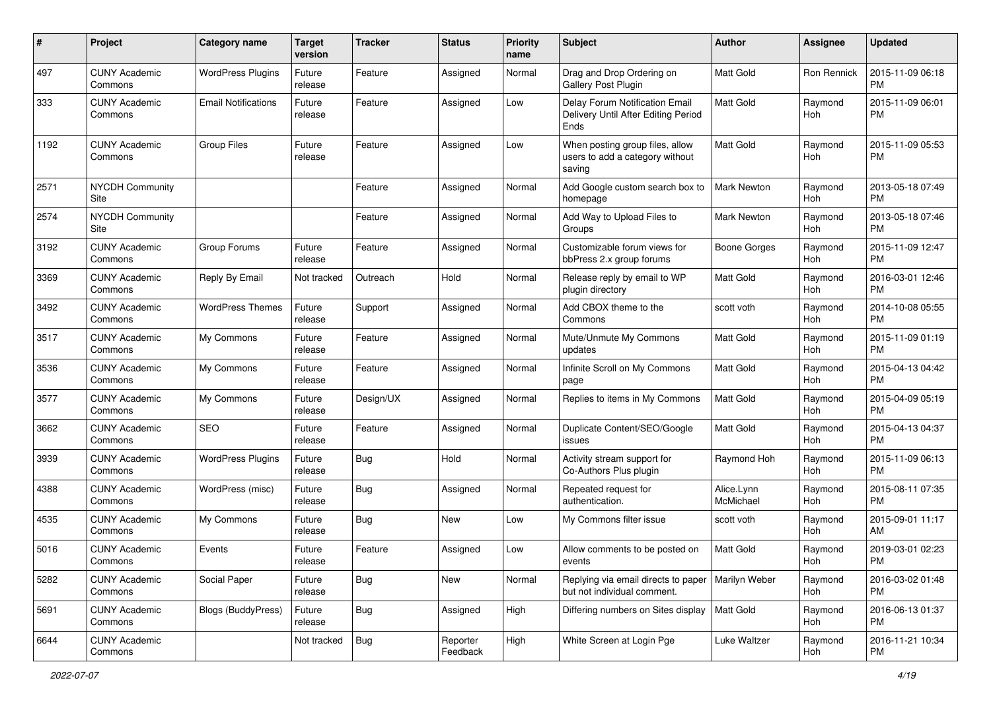| #    | Project                         | <b>Category name</b>       | <b>Target</b><br>version | <b>Tracker</b> | <b>Status</b>        | <b>Priority</b><br>name | Subject                                                                       | Author                  | <b>Assignee</b> | <b>Updated</b>                |
|------|---------------------------------|----------------------------|--------------------------|----------------|----------------------|-------------------------|-------------------------------------------------------------------------------|-------------------------|-----------------|-------------------------------|
| 497  | <b>CUNY Academic</b><br>Commons | <b>WordPress Plugins</b>   | Future<br>release        | Feature        | Assigned             | Normal                  | Drag and Drop Ordering on<br>Gallery Post Plugin                              | <b>Matt Gold</b>        | Ron Rennick     | 2015-11-09 06:18<br><b>PM</b> |
| 333  | <b>CUNY Academic</b><br>Commons | <b>Email Notifications</b> | Future<br>release        | Feature        | Assigned             | Low                     | Delay Forum Notification Email<br>Delivery Until After Editing Period<br>Ends | Matt Gold               | Raymond<br>Hoh  | 2015-11-09 06:01<br><b>PM</b> |
| 1192 | <b>CUNY Academic</b><br>Commons | <b>Group Files</b>         | Future<br>release        | Feature        | Assigned             | Low                     | When posting group files, allow<br>users to add a category without<br>saving  | Matt Gold               | Raymond<br>Hoh  | 2015-11-09 05:53<br><b>PM</b> |
| 2571 | <b>NYCDH Community</b><br>Site  |                            |                          | Feature        | Assigned             | Normal                  | Add Google custom search box to<br>homepage                                   | <b>Mark Newton</b>      | Raymond<br>Hoh  | 2013-05-18 07:49<br><b>PM</b> |
| 2574 | <b>NYCDH Community</b><br>Site  |                            |                          | Feature        | Assigned             | Normal                  | Add Way to Upload Files to<br>Groups                                          | <b>Mark Newton</b>      | Raymond<br>Hoh  | 2013-05-18 07:46<br><b>PM</b> |
| 3192 | <b>CUNY Academic</b><br>Commons | Group Forums               | Future<br>release        | Feature        | Assigned             | Normal                  | Customizable forum views for<br>bbPress 2.x group forums                      | Boone Gorges            | Raymond<br>Hoh  | 2015-11-09 12:47<br><b>PM</b> |
| 3369 | <b>CUNY Academic</b><br>Commons | Reply By Email             | Not tracked              | Outreach       | Hold                 | Normal                  | Release reply by email to WP<br>plugin directory                              | <b>Matt Gold</b>        | Raymond<br>Hoh  | 2016-03-01 12:46<br><b>PM</b> |
| 3492 | <b>CUNY Academic</b><br>Commons | <b>WordPress Themes</b>    | Future<br>release        | Support        | Assigned             | Normal                  | Add CBOX theme to the<br>Commons                                              | scott voth              | Raymond<br>Hoh  | 2014-10-08 05:55<br><b>PM</b> |
| 3517 | <b>CUNY Academic</b><br>Commons | My Commons                 | Future<br>release        | Feature        | Assigned             | Normal                  | Mute/Unmute My Commons<br>updates                                             | <b>Matt Gold</b>        | Raymond<br>Hoh  | 2015-11-09 01:19<br><b>PM</b> |
| 3536 | <b>CUNY Academic</b><br>Commons | My Commons                 | Future<br>release        | Feature        | Assigned             | Normal                  | Infinite Scroll on My Commons<br>page                                         | <b>Matt Gold</b>        | Raymond<br>Hoh  | 2015-04-13 04:42<br><b>PM</b> |
| 3577 | <b>CUNY Academic</b><br>Commons | My Commons                 | Future<br>release        | Design/UX      | Assigned             | Normal                  | Replies to items in My Commons                                                | Matt Gold               | Raymond<br>Hoh  | 2015-04-09 05:19<br><b>PM</b> |
| 3662 | <b>CUNY Academic</b><br>Commons | <b>SEO</b>                 | Future<br>release        | Feature        | Assigned             | Normal                  | Duplicate Content/SEO/Google<br>issues                                        | <b>Matt Gold</b>        | Raymond<br>Hoh  | 2015-04-13 04:37<br><b>PM</b> |
| 3939 | <b>CUNY Academic</b><br>Commons | <b>WordPress Plugins</b>   | Future<br>release        | Bug            | Hold                 | Normal                  | Activity stream support for<br>Co-Authors Plus plugin                         | Raymond Hoh             | Raymond<br>Hoh  | 2015-11-09 06:13<br><b>PM</b> |
| 4388 | <b>CUNY Academic</b><br>Commons | WordPress (misc)           | Future<br>release        | <b>Bug</b>     | Assigned             | Normal                  | Repeated request for<br>authentication.                                       | Alice.Lynn<br>McMichael | Raymond<br>Hoh  | 2015-08-11 07:35<br><b>PM</b> |
| 4535 | <b>CUNY Academic</b><br>Commons | My Commons                 | Future<br>release        | Bug            | New                  | Low                     | My Commons filter issue                                                       | scott voth              | Raymond<br>Hoh  | 2015-09-01 11:17<br>AM        |
| 5016 | <b>CUNY Academic</b><br>Commons | Events                     | Future<br>release        | Feature        | Assigned             | Low                     | Allow comments to be posted on<br>events                                      | Matt Gold               | Raymond<br>Hoh  | 2019-03-01 02:23<br>PM        |
| 5282 | <b>CUNY Academic</b><br>Commons | Social Paper               | Future<br>release        | Bug            | New                  | Normal                  | Replying via email directs to paper<br>but not individual comment.            | Marilyn Weber           | Raymond<br>Hoh  | 2016-03-02 01:48<br>PM        |
| 5691 | <b>CUNY Academic</b><br>Commons | <b>Blogs (BuddyPress)</b>  | Future<br>release        | <b>Bug</b>     | Assigned             | High                    | Differing numbers on Sites display                                            | Matt Gold               | Raymond<br>Hoh  | 2016-06-13 01:37<br><b>PM</b> |
| 6644 | <b>CUNY Academic</b><br>Commons |                            | Not tracked              | Bug            | Reporter<br>Feedback | High                    | White Screen at Login Pge                                                     | Luke Waltzer            | Raymond<br>Hoh  | 2016-11-21 10:34<br><b>PM</b> |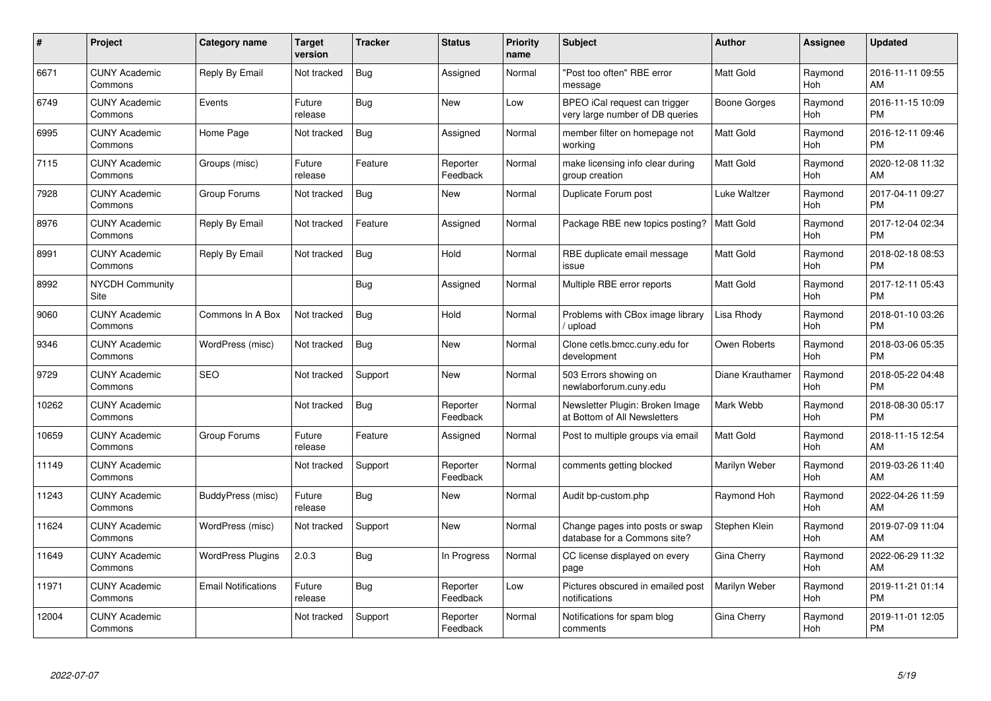| #     | <b>Project</b>                  | <b>Category name</b>       | <b>Target</b><br>version | <b>Tracker</b> | <b>Status</b>        | <b>Priority</b><br>name | <b>Subject</b>                                                   | <b>Author</b>       | <b>Assignee</b> | <b>Updated</b>                |
|-------|---------------------------------|----------------------------|--------------------------|----------------|----------------------|-------------------------|------------------------------------------------------------------|---------------------|-----------------|-------------------------------|
| 6671  | <b>CUNY Academic</b><br>Commons | Reply By Email             | Not tracked              | <b>Bug</b>     | Assigned             | Normal                  | "Post too often" RBE error<br>message                            | <b>Matt Gold</b>    | Raymond<br>Hoh  | 2016-11-11 09:55<br>AM        |
| 6749  | <b>CUNY Academic</b><br>Commons | Events                     | Future<br>release        | Bug            | New                  | Low                     | BPEO iCal request can trigger<br>very large number of DB queries | Boone Gorges        | Raymond<br>Hoh  | 2016-11-15 10:09<br><b>PM</b> |
| 6995  | <b>CUNY Academic</b><br>Commons | Home Page                  | Not tracked              | Bug            | Assigned             | Normal                  | member filter on homepage not<br>working                         | <b>Matt Gold</b>    | Raymond<br>Hoh  | 2016-12-11 09:46<br><b>PM</b> |
| 7115  | <b>CUNY Academic</b><br>Commons | Groups (misc)              | Future<br>release        | Feature        | Reporter<br>Feedback | Normal                  | make licensing info clear during<br>group creation               | <b>Matt Gold</b>    | Raymond<br>Hoh  | 2020-12-08 11:32<br>AM        |
| 7928  | <b>CUNY Academic</b><br>Commons | Group Forums               | Not tracked              | Bug            | <b>New</b>           | Normal                  | Duplicate Forum post                                             | <b>Luke Waltzer</b> | Raymond<br>Hoh  | 2017-04-11 09:27<br><b>PM</b> |
| 8976  | <b>CUNY Academic</b><br>Commons | Reply By Email             | Not tracked              | Feature        | Assigned             | Normal                  | Package RBE new topics posting?                                  | <b>Matt Gold</b>    | Raymond<br>Hoh  | 2017-12-04 02:34<br><b>PM</b> |
| 8991  | <b>CUNY Academic</b><br>Commons | Reply By Email             | Not tracked              | <b>Bug</b>     | Hold                 | Normal                  | RBE duplicate email message<br>issue                             | <b>Matt Gold</b>    | Raymond<br>Hoh  | 2018-02-18 08:53<br><b>PM</b> |
| 8992  | <b>NYCDH Community</b><br>Site  |                            |                          | Bug            | Assigned             | Normal                  | Multiple RBE error reports                                       | <b>Matt Gold</b>    | Raymond<br>Hoh  | 2017-12-11 05:43<br><b>PM</b> |
| 9060  | <b>CUNY Academic</b><br>Commons | Commons In A Box           | Not tracked              | Bug            | Hold                 | Normal                  | Problems with CBox image library<br>/ upload                     | Lisa Rhody          | Raymond<br>Hoh  | 2018-01-10 03:26<br><b>PM</b> |
| 9346  | <b>CUNY Academic</b><br>Commons | WordPress (misc)           | Not tracked              | Bug            | <b>New</b>           | Normal                  | Clone cetls.bmcc.cuny.edu for<br>development                     | Owen Roberts        | Raymond<br>Hoh  | 2018-03-06 05:35<br><b>PM</b> |
| 9729  | <b>CUNY Academic</b><br>Commons | <b>SEO</b>                 | Not tracked              | Support        | New                  | Normal                  | 503 Errors showing on<br>newlaborforum.cuny.edu                  | Diane Krauthamer    | Raymond<br>Hoh  | 2018-05-22 04:48<br><b>PM</b> |
| 10262 | <b>CUNY Academic</b><br>Commons |                            | Not tracked              | <b>Bug</b>     | Reporter<br>Feedback | Normal                  | Newsletter Plugin: Broken Image<br>at Bottom of All Newsletters  | Mark Webb           | Raymond<br>Hoh  | 2018-08-30 05:17<br><b>PM</b> |
| 10659 | <b>CUNY Academic</b><br>Commons | Group Forums               | Future<br>release        | Feature        | Assigned             | Normal                  | Post to multiple groups via email                                | <b>Matt Gold</b>    | Raymond<br>Hoh  | 2018-11-15 12:54<br>AM        |
| 11149 | <b>CUNY Academic</b><br>Commons |                            | Not tracked              | Support        | Reporter<br>Feedback | Normal                  | comments getting blocked                                         | Marilyn Weber       | Raymond<br>Hoh  | 2019-03-26 11:40<br>AM        |
| 11243 | <b>CUNY Academic</b><br>Commons | BuddyPress (misc)          | Future<br>release        | Bug            | New                  | Normal                  | Audit bp-custom.php                                              | Raymond Hoh         | Raymond<br>Hoh  | 2022-04-26 11:59<br>AM        |
| 11624 | <b>CUNY Academic</b><br>Commons | WordPress (misc)           | Not tracked              | Support        | New                  | Normal                  | Change pages into posts or swap<br>database for a Commons site?  | Stephen Klein       | Raymond<br>Hoh  | 2019-07-09 11:04<br>AM        |
| 11649 | <b>CUNY Academic</b><br>Commons | <b>WordPress Plugins</b>   | 2.0.3                    | Bug            | In Progress          | Normal                  | CC license displayed on every<br>page                            | Gina Cherry         | Raymond<br>Hoh  | 2022-06-29 11:32<br>AM        |
| 11971 | <b>CUNY Academic</b><br>Commons | <b>Email Notifications</b> | Future<br>release        | Bug            | Reporter<br>Feedback | Low                     | Pictures obscured in emailed post<br>notifications               | Marilyn Weber       | Raymond<br>Hoh  | 2019-11-21 01:14<br><b>PM</b> |
| 12004 | <b>CUNY Academic</b><br>Commons |                            | Not tracked              | Support        | Reporter<br>Feedback | Normal                  | Notifications for spam blog<br>comments                          | Gina Cherry         | Raymond<br>Hoh  | 2019-11-01 12:05<br><b>PM</b> |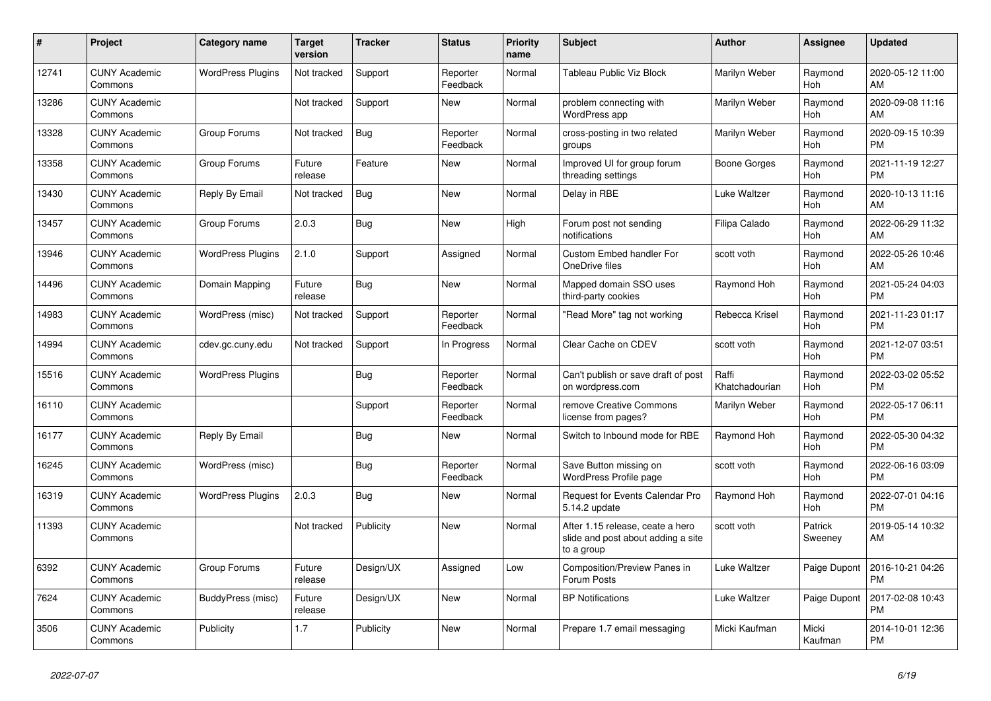| #     | Project                         | Category name            | <b>Target</b><br>version | <b>Tracker</b> | <b>Status</b>        | <b>Priority</b><br>name | <b>Subject</b>                                                                       | <b>Author</b>           | Assignee           | <b>Updated</b>                |
|-------|---------------------------------|--------------------------|--------------------------|----------------|----------------------|-------------------------|--------------------------------------------------------------------------------------|-------------------------|--------------------|-------------------------------|
| 12741 | <b>CUNY Academic</b><br>Commons | <b>WordPress Plugins</b> | Not tracked              | Support        | Reporter<br>Feedback | Normal                  | Tableau Public Viz Block                                                             | Marilyn Weber           | Raymond<br>Hoh     | 2020-05-12 11:00<br>AM        |
| 13286 | <b>CUNY Academic</b><br>Commons |                          | Not tracked              | Support        | New                  | Normal                  | problem connecting with<br>WordPress app                                             | Marilyn Weber           | Raymond<br>Hoh     | 2020-09-08 11:16<br>AM        |
| 13328 | <b>CUNY Academic</b><br>Commons | Group Forums             | Not tracked              | Bug            | Reporter<br>Feedback | Normal                  | cross-posting in two related<br>groups                                               | Marilyn Weber           | Raymond<br>Hoh     | 2020-09-15 10:39<br><b>PM</b> |
| 13358 | <b>CUNY Academic</b><br>Commons | Group Forums             | Future<br>release        | Feature        | New                  | Normal                  | Improved UI for group forum<br>threading settings                                    | <b>Boone Gorges</b>     | Raymond<br>Hoh     | 2021-11-19 12:27<br><b>PM</b> |
| 13430 | <b>CUNY Academic</b><br>Commons | Reply By Email           | Not tracked              | <b>Bug</b>     | <b>New</b>           | Normal                  | Delay in RBE                                                                         | Luke Waltzer            | Raymond<br>Hoh     | 2020-10-13 11:16<br>AM        |
| 13457 | <b>CUNY Academic</b><br>Commons | Group Forums             | 2.0.3                    | Bug            | <b>New</b>           | High                    | Forum post not sending<br>notifications                                              | Filipa Calado           | Raymond<br>Hoh     | 2022-06-29 11:32<br>AM        |
| 13946 | <b>CUNY Academic</b><br>Commons | <b>WordPress Plugins</b> | 2.1.0                    | Support        | Assigned             | Normal                  | <b>Custom Embed handler For</b><br>OneDrive files                                    | scott voth              | Raymond<br>Hoh     | 2022-05-26 10:46<br>AM        |
| 14496 | <b>CUNY Academic</b><br>Commons | Domain Mapping           | Future<br>release        | <b>Bug</b>     | <b>New</b>           | Normal                  | Mapped domain SSO uses<br>third-party cookies                                        | Raymond Hoh             | Raymond<br>Hoh     | 2021-05-24 04:03<br><b>PM</b> |
| 14983 | <b>CUNY Academic</b><br>Commons | WordPress (misc)         | Not tracked              | Support        | Reporter<br>Feedback | Normal                  | "Read More" tag not working                                                          | Rebecca Krisel          | Raymond<br>Hoh     | 2021-11-23 01:17<br><b>PM</b> |
| 14994 | <b>CUNY Academic</b><br>Commons | cdev.gc.cuny.edu         | Not tracked              | Support        | In Progress          | Normal                  | Clear Cache on CDEV                                                                  | scott voth              | Raymond<br>Hoh     | 2021-12-07 03:51<br><b>PM</b> |
| 15516 | <b>CUNY Academic</b><br>Commons | <b>WordPress Plugins</b> |                          | Bug            | Reporter<br>Feedback | Normal                  | Can't publish or save draft of post<br>on wordpress.com                              | Raffi<br>Khatchadourian | Raymond<br>Hoh     | 2022-03-02 05:52<br><b>PM</b> |
| 16110 | <b>CUNY Academic</b><br>Commons |                          |                          | Support        | Reporter<br>Feedback | Normal                  | remove Creative Commons<br>license from pages?                                       | Marilyn Weber           | Raymond<br>Hoh     | 2022-05-17 06:11<br><b>PM</b> |
| 16177 | <b>CUNY Academic</b><br>Commons | Reply By Email           |                          | <b>Bug</b>     | New                  | Normal                  | Switch to Inbound mode for RBE                                                       | Raymond Hoh             | Raymond<br>Hoh     | 2022-05-30 04:32<br><b>PM</b> |
| 16245 | <b>CUNY Academic</b><br>Commons | WordPress (misc)         |                          | <b>Bug</b>     | Reporter<br>Feedback | Normal                  | Save Button missing on<br>WordPress Profile page                                     | scott voth              | Raymond<br>Hoh     | 2022-06-16 03:09<br><b>PM</b> |
| 16319 | <b>CUNY Academic</b><br>Commons | <b>WordPress Plugins</b> | 2.0.3                    | Bug            | New                  | Normal                  | <b>Request for Events Calendar Pro</b><br>5.14.2 update                              | Raymond Hoh             | Raymond<br>Hoh     | 2022-07-01 04:16<br><b>PM</b> |
| 11393 | <b>CUNY Academic</b><br>Commons |                          | Not tracked              | Publicity      | New                  | Normal                  | After 1.15 release, ceate a hero<br>slide and post about adding a site<br>to a group | scott voth              | Patrick<br>Sweeney | 2019-05-14 10:32<br>AM        |
| 6392  | <b>CUNY Academic</b><br>Commons | Group Forums             | Future<br>release        | Design/UX      | Assigned             | Low                     | <b>Composition/Preview Panes in</b><br>Forum Posts                                   | Luke Waltzer            | Paige Dupont       | 2016-10-21 04:26<br><b>PM</b> |
| 7624  | <b>CUNY Academic</b><br>Commons | BuddyPress (misc)        | Future<br>release        | Design/UX      | New                  | Normal                  | <b>BP</b> Notifications                                                              | Luke Waltzer            | Paige Dupont       | 2017-02-08 10:43<br><b>PM</b> |
| 3506  | <b>CUNY Academic</b><br>Commons | Publicity                | 1.7                      | Publicity      | <b>New</b>           | Normal                  | Prepare 1.7 email messaging                                                          | Micki Kaufman           | Micki<br>Kaufman   | 2014-10-01 12:36<br><b>PM</b> |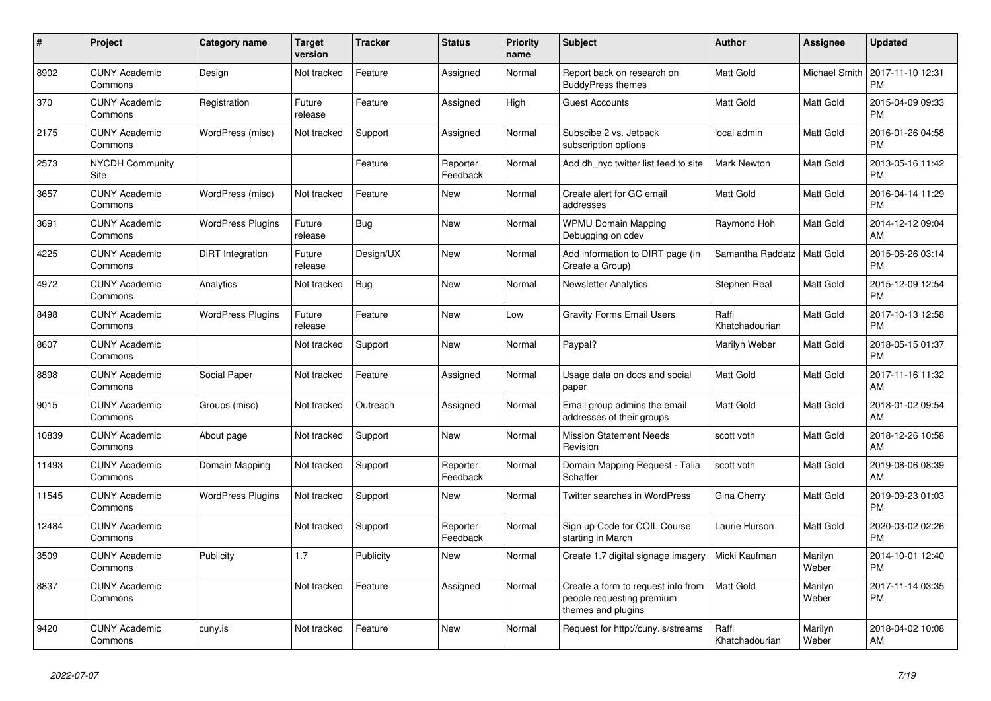| $\#$  | Project                         | Category name            | <b>Target</b><br>version | <b>Tracker</b> | <b>Status</b>        | <b>Priority</b><br>name | <b>Subject</b>                                                                        | <b>Author</b>           | Assignee             | <b>Updated</b>                |
|-------|---------------------------------|--------------------------|--------------------------|----------------|----------------------|-------------------------|---------------------------------------------------------------------------------------|-------------------------|----------------------|-------------------------------|
| 8902  | <b>CUNY Academic</b><br>Commons | Design                   | Not tracked              | Feature        | Assigned             | Normal                  | Report back on research on<br><b>BuddyPress themes</b>                                | <b>Matt Gold</b>        | <b>Michael Smith</b> | 2017-11-10 12:31<br><b>PM</b> |
| 370   | <b>CUNY Academic</b><br>Commons | Registration             | Future<br>release        | Feature        | Assigned             | High                    | <b>Guest Accounts</b>                                                                 | <b>Matt Gold</b>        | Matt Gold            | 2015-04-09 09:33<br><b>PM</b> |
| 2175  | <b>CUNY Academic</b><br>Commons | WordPress (misc)         | Not tracked              | Support        | Assigned             | Normal                  | Subscibe 2 vs. Jetpack<br>subscription options                                        | local admin             | Matt Gold            | 2016-01-26 04:58<br><b>PM</b> |
| 2573  | <b>NYCDH Community</b><br>Site  |                          |                          | Feature        | Reporter<br>Feedback | Normal                  | Add dh nyc twitter list feed to site                                                  | <b>Mark Newton</b>      | Matt Gold            | 2013-05-16 11:42<br><b>PM</b> |
| 3657  | <b>CUNY Academic</b><br>Commons | WordPress (misc)         | Not tracked              | Feature        | New                  | Normal                  | Create alert for GC email<br>addresses                                                | Matt Gold               | Matt Gold            | 2016-04-14 11:29<br><b>PM</b> |
| 3691  | <b>CUNY Academic</b><br>Commons | <b>WordPress Plugins</b> | Future<br>release        | <b>Bug</b>     | New                  | Normal                  | <b>WPMU Domain Mapping</b><br>Debugging on cdev                                       | Raymond Hoh             | Matt Gold            | 2014-12-12 09:04<br>AM        |
| 4225  | <b>CUNY Academic</b><br>Commons | DiRT Integration         | Future<br>release        | Design/UX      | <b>New</b>           | Normal                  | Add information to DIRT page (in<br>Create a Group)                                   | Samantha Raddatz        | Matt Gold            | 2015-06-26 03:14<br><b>PM</b> |
| 4972  | <b>CUNY Academic</b><br>Commons | Analytics                | Not tracked              | Bug            | <b>New</b>           | Normal                  | <b>Newsletter Analytics</b>                                                           | Stephen Real            | Matt Gold            | 2015-12-09 12:54<br><b>PM</b> |
| 8498  | <b>CUNY Academic</b><br>Commons | <b>WordPress Plugins</b> | Future<br>release        | Feature        | <b>New</b>           | Low                     | <b>Gravity Forms Email Users</b>                                                      | Raffi<br>Khatchadourian | Matt Gold            | 2017-10-13 12:58<br><b>PM</b> |
| 8607  | <b>CUNY Academic</b><br>Commons |                          | Not tracked              | Support        | <b>New</b>           | Normal                  | Paypal?                                                                               | Marilyn Weber           | Matt Gold            | 2018-05-15 01:37<br><b>PM</b> |
| 8898  | <b>CUNY Academic</b><br>Commons | Social Paper             | Not tracked              | Feature        | Assigned             | Normal                  | Usage data on docs and social<br>paper                                                | <b>Matt Gold</b>        | Matt Gold            | 2017-11-16 11:32<br>AM        |
| 9015  | <b>CUNY Academic</b><br>Commons | Groups (misc)            | Not tracked              | Outreach       | Assigned             | Normal                  | Email group admins the email<br>addresses of their groups                             | <b>Matt Gold</b>        | Matt Gold            | 2018-01-02 09:54<br>AM        |
| 10839 | <b>CUNY Academic</b><br>Commons | About page               | Not tracked              | Support        | <b>New</b>           | Normal                  | <b>Mission Statement Needs</b><br>Revision                                            | scott voth              | Matt Gold            | 2018-12-26 10:58<br>AM        |
| 11493 | <b>CUNY Academic</b><br>Commons | Domain Mapping           | Not tracked              | Support        | Reporter<br>Feedback | Normal                  | Domain Mapping Request - Talia<br>Schaffer                                            | scott voth              | Matt Gold            | 2019-08-06 08:39<br>AM        |
| 11545 | <b>CUNY Academic</b><br>Commons | <b>WordPress Plugins</b> | Not tracked              | Support        | New                  | Normal                  | <b>Twitter searches in WordPress</b>                                                  | Gina Cherry             | Matt Gold            | 2019-09-23 01:03<br><b>PM</b> |
| 12484 | <b>CUNY Academic</b><br>Commons |                          | Not tracked              | Support        | Reporter<br>Feedback | Normal                  | Sign up Code for COIL Course<br>starting in March                                     | Laurie Hurson           | Matt Gold            | 2020-03-02 02:26<br><b>PM</b> |
| 3509  | <b>CUNY Academic</b><br>Commons | Publicity                | 1.7                      | Publicity      | <b>New</b>           | Normal                  | Create 1.7 digital signage imagery                                                    | Micki Kaufman           | Marilyn<br>Weber     | 2014-10-01 12:40<br><b>PM</b> |
| 8837  | <b>CUNY Academic</b><br>Commons |                          | Not tracked              | Feature        | Assigned             | Normal                  | Create a form to request info from<br>people requesting premium<br>themes and plugins | Matt Gold               | Marilyn<br>Weber     | 2017-11-14 03:35<br><b>PM</b> |
| 9420  | <b>CUNY Academic</b><br>Commons | cuny.is                  | Not tracked              | Feature        | <b>New</b>           | Normal                  | Request for http://cuny.is/streams                                                    | Raffi<br>Khatchadourian | Marilyn<br>Weber     | 2018-04-02 10:08<br>AM        |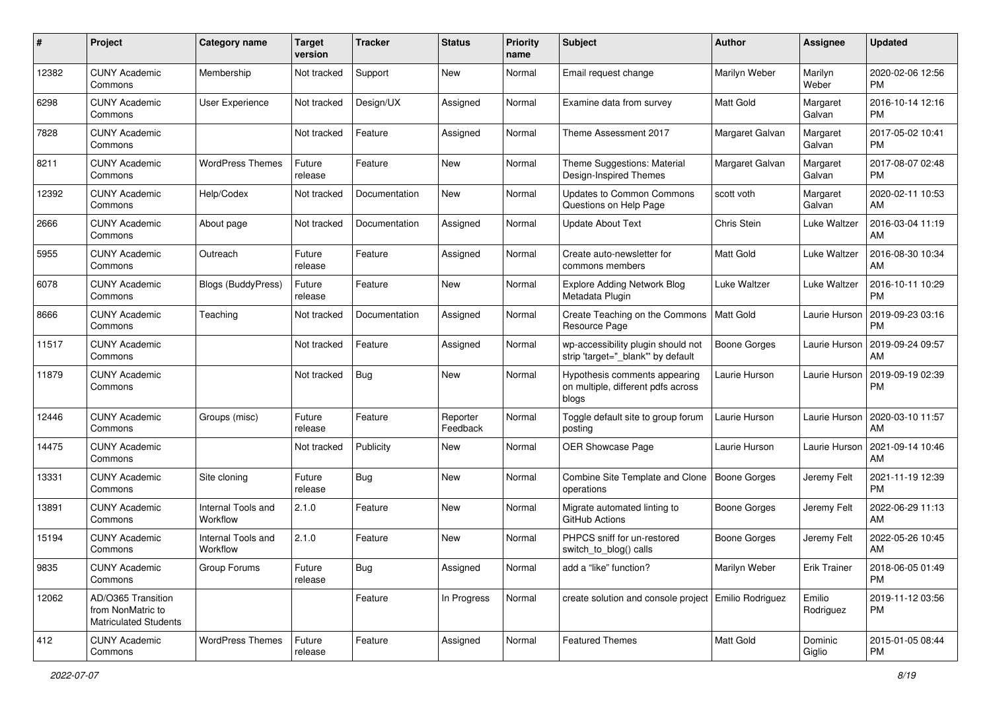| #     | Project                                                                 | <b>Category name</b>           | <b>Target</b><br>version | <b>Tracker</b> | <b>Status</b>        | <b>Priority</b><br>name | <b>Subject</b>                                                               | Author              | <b>Assignee</b>     | <b>Updated</b>                |
|-------|-------------------------------------------------------------------------|--------------------------------|--------------------------|----------------|----------------------|-------------------------|------------------------------------------------------------------------------|---------------------|---------------------|-------------------------------|
| 12382 | <b>CUNY Academic</b><br>Commons                                         | Membership                     | Not tracked              | Support        | New                  | Normal                  | Email request change                                                         | Marilyn Weber       | Marilyn<br>Weber    | 2020-02-06 12:56<br>PM        |
| 6298  | <b>CUNY Academic</b><br>Commons                                         | User Experience                | Not tracked              | Design/UX      | Assigned             | Normal                  | Examine data from survey                                                     | <b>Matt Gold</b>    | Margaret<br>Galvan  | 2016-10-14 12:16<br><b>PM</b> |
| 7828  | <b>CUNY Academic</b><br>Commons                                         |                                | Not tracked              | Feature        | Assigned             | Normal                  | Theme Assessment 2017                                                        | Margaret Galvan     | Margaret<br>Galvan  | 2017-05-02 10:41<br><b>PM</b> |
| 8211  | <b>CUNY Academic</b><br>Commons                                         | <b>WordPress Themes</b>        | Future<br>release        | Feature        | New                  | Normal                  | Theme Suggestions: Material<br>Design-Inspired Themes                        | Margaret Galvan     | Margaret<br>Galvan  | 2017-08-07 02:48<br><b>PM</b> |
| 12392 | <b>CUNY Academic</b><br>Commons                                         | Help/Codex                     | Not tracked              | Documentation  | New                  | Normal                  | Updates to Common Commons<br>Questions on Help Page                          | scott voth          | Margaret<br>Galvan  | 2020-02-11 10:53<br>AM        |
| 2666  | <b>CUNY Academic</b><br>Commons                                         | About page                     | Not tracked              | Documentation  | Assigned             | Normal                  | <b>Update About Text</b>                                                     | Chris Stein         | Luke Waltzer        | 2016-03-04 11:19<br>AM        |
| 5955  | <b>CUNY Academic</b><br>Commons                                         | Outreach                       | Future<br>release        | Feature        | Assigned             | Normal                  | Create auto-newsletter for<br>commons members                                | <b>Matt Gold</b>    | Luke Waltzer        | 2016-08-30 10:34<br>AM        |
| 6078  | <b>CUNY Academic</b><br>Commons                                         | <b>Blogs (BuddyPress)</b>      | Future<br>release        | Feature        | New                  | Normal                  | <b>Explore Adding Network Blog</b><br>Metadata Plugin                        | Luke Waltzer        | Luke Waltzer        | 2016-10-11 10:29<br><b>PM</b> |
| 8666  | <b>CUNY Academic</b><br>Commons                                         | Teaching                       | Not tracked              | Documentation  | Assigned             | Normal                  | Create Teaching on the Commons<br>Resource Page                              | <b>Matt Gold</b>    | Laurie Hurson       | 2019-09-23 03:16<br><b>PM</b> |
| 11517 | <b>CUNY Academic</b><br>Commons                                         |                                | Not tracked              | Feature        | Assigned             | Normal                  | wp-accessibility plugin should not<br>strip 'target="_blank" by default      | <b>Boone Gorges</b> | Laurie Hurson       | 2019-09-24 09:57<br>AM        |
| 11879 | <b>CUNY Academic</b><br>Commons                                         |                                | Not tracked              | <b>Bug</b>     | New                  | Normal                  | Hypothesis comments appearing<br>on multiple, different pdfs across<br>blogs | Laurie Hurson       | Laurie Hurson       | 2019-09-19 02:39<br><b>PM</b> |
| 12446 | <b>CUNY Academic</b><br>Commons                                         | Groups (misc)                  | Future<br>release        | Feature        | Reporter<br>Feedback | Normal                  | Toggle default site to group forum<br>posting                                | Laurie Hurson       | Laurie Hurson       | 2020-03-10 11:57<br>AM        |
| 14475 | <b>CUNY Academic</b><br>Commons                                         |                                | Not tracked              | Publicity      | <b>New</b>           | Normal                  | <b>OER Showcase Page</b>                                                     | Laurie Hurson       | Laurie Hurson       | 2021-09-14 10:46<br>AM        |
| 13331 | <b>CUNY Academic</b><br>Commons                                         | Site cloning                   | Future<br>release        | <b>Bug</b>     | <b>New</b>           | Normal                  | Combine Site Template and Clone   Boone Gorges<br>operations                 |                     | Jeremy Felt         | 2021-11-19 12:39<br><b>PM</b> |
| 13891 | <b>CUNY Academic</b><br>Commons                                         | Internal Tools and<br>Workflow | 2.1.0                    | Feature        | New                  | Normal                  | Migrate automated linting to<br>GitHub Actions                               | <b>Boone Gorges</b> | Jeremy Felt         | 2022-06-29 11:13<br>AM        |
| 15194 | <b>CUNY Academic</b><br>Commons                                         | Internal Tools and<br>Workflow | 2.1.0                    | Feature        | New                  | Normal                  | PHPCS sniff for un-restored<br>switch_to_blog() calls                        | <b>Boone Gorges</b> | Jeremy Felt         | 2022-05-26 10:45<br>AM        |
| 9835  | <b>CUNY Academic</b><br>Commons                                         | Group Forums                   | Future<br>release        | <b>Bug</b>     | Assigned             | Normal                  | add a "like" function?                                                       | Marilyn Weber       | <b>Erik Trainer</b> | 2018-06-05 01:49<br>PM        |
| 12062 | AD/O365 Transition<br>from NonMatric to<br><b>Matriculated Students</b> |                                |                          | Feature        | In Progress          | Normal                  | create solution and console project   Emilio Rodriguez                       |                     | Emilio<br>Rodriguez | 2019-11-12 03:56<br><b>PM</b> |
| 412   | <b>CUNY Academic</b><br>Commons                                         | <b>WordPress Themes</b>        | Future<br>release        | Feature        | Assigned             | Normal                  | <b>Featured Themes</b>                                                       | Matt Gold           | Dominic<br>Giglio   | 2015-01-05 08:44<br>PM        |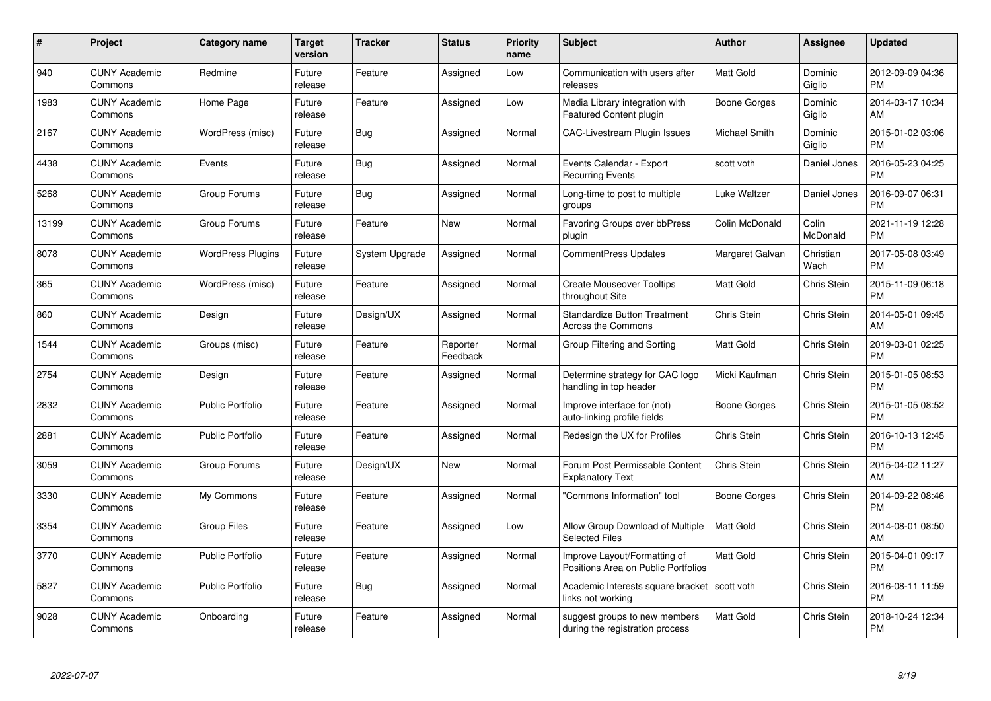| $\#$  | Project                         | <b>Category name</b>     | <b>Target</b><br>version | <b>Tracker</b> | <b>Status</b>        | <b>Priority</b><br>name | <b>Subject</b>                                                      | <b>Author</b>    | <b>Assignee</b>    | <b>Updated</b>                |
|-------|---------------------------------|--------------------------|--------------------------|----------------|----------------------|-------------------------|---------------------------------------------------------------------|------------------|--------------------|-------------------------------|
| 940   | <b>CUNY Academic</b><br>Commons | Redmine                  | Future<br>release        | Feature        | Assigned             | Low                     | Communication with users after<br>releases                          | <b>Matt Gold</b> | Dominic<br>Giglio  | 2012-09-09 04:36<br><b>PM</b> |
| 1983  | <b>CUNY Academic</b><br>Commons | Home Page                | Future<br>release        | Feature        | Assigned             | Low                     | Media Library integration with<br><b>Featured Content plugin</b>    | Boone Gorges     | Dominic<br>Giglio  | 2014-03-17 10:34<br>AM        |
| 2167  | <b>CUNY Academic</b><br>Commons | WordPress (misc)         | Future<br>release        | <b>Bug</b>     | Assigned             | Normal                  | <b>CAC-Livestream Plugin Issues</b>                                 | Michael Smith    | Dominic<br>Giglio  | 2015-01-02 03:06<br><b>PM</b> |
| 4438  | <b>CUNY Academic</b><br>Commons | Events                   | Future<br>release        | Bug            | Assigned             | Normal                  | Events Calendar - Export<br><b>Recurring Events</b>                 | scott voth       | Daniel Jones       | 2016-05-23 04:25<br><b>PM</b> |
| 5268  | <b>CUNY Academic</b><br>Commons | Group Forums             | Future<br>release        | <b>Bug</b>     | Assigned             | Normal                  | Long-time to post to multiple<br>groups                             | Luke Waltzer     | Daniel Jones       | 2016-09-07 06:31<br><b>PM</b> |
| 13199 | <b>CUNY Academic</b><br>Commons | Group Forums             | Future<br>release        | Feature        | <b>New</b>           | Normal                  | <b>Favoring Groups over bbPress</b><br>plugin                       | Colin McDonald   | Colin<br>McDonald  | 2021-11-19 12:28<br>PM        |
| 8078  | <b>CUNY Academic</b><br>Commons | <b>WordPress Plugins</b> | Future<br>release        | System Upgrade | Assigned             | Normal                  | <b>CommentPress Updates</b>                                         | Margaret Galvan  | Christian<br>Wach  | 2017-05-08 03:49<br><b>PM</b> |
| 365   | <b>CUNY Academic</b><br>Commons | WordPress (misc)         | Future<br>release        | Feature        | Assigned             | Normal                  | <b>Create Mouseover Tooltips</b><br>throughout Site                 | <b>Matt Gold</b> | Chris Stein        | 2015-11-09 06:18<br><b>PM</b> |
| 860   | <b>CUNY Academic</b><br>Commons | Design                   | Future<br>release        | Design/UX      | Assigned             | Normal                  | <b>Standardize Button Treatment</b><br>Across the Commons           | Chris Stein      | Chris Stein        | 2014-05-01 09:45<br>AM        |
| 1544  | <b>CUNY Academic</b><br>Commons | Groups (misc)            | Future<br>release        | Feature        | Reporter<br>Feedback | Normal                  | Group Filtering and Sorting                                         | <b>Matt Gold</b> | <b>Chris Stein</b> | 2019-03-01 02:25<br><b>PM</b> |
| 2754  | <b>CUNY Academic</b><br>Commons | Design                   | Future<br>release        | Feature        | Assigned             | Normal                  | Determine strategy for CAC logo<br>handling in top header           | Micki Kaufman    | Chris Stein        | 2015-01-05 08:53<br><b>PM</b> |
| 2832  | <b>CUNY Academic</b><br>Commons | <b>Public Portfolio</b>  | Future<br>release        | Feature        | Assigned             | Normal                  | Improve interface for (not)<br>auto-linking profile fields          | Boone Gorges     | Chris Stein        | 2015-01-05 08:52<br><b>PM</b> |
| 2881  | <b>CUNY Academic</b><br>Commons | <b>Public Portfolio</b>  | Future<br>release        | Feature        | Assigned             | Normal                  | Redesign the UX for Profiles                                        | Chris Stein      | Chris Stein        | 2016-10-13 12:45<br><b>PM</b> |
| 3059  | <b>CUNY Academic</b><br>Commons | Group Forums             | Future<br>release        | Design/UX      | <b>New</b>           | Normal                  | Forum Post Permissable Content<br><b>Explanatory Text</b>           | Chris Stein      | Chris Stein        | 2015-04-02 11:27<br>AM        |
| 3330  | <b>CUNY Academic</b><br>Commons | My Commons               | Future<br>release        | Feature        | Assigned             | Normal                  | 'Commons Information" tool                                          | Boone Gorges     | Chris Stein        | 2014-09-22 08:46<br><b>PM</b> |
| 3354  | <b>CUNY Academic</b><br>Commons | <b>Group Files</b>       | Future<br>release        | Feature        | Assigned             | Low                     | Allow Group Download of Multiple<br><b>Selected Files</b>           | <b>Matt Gold</b> | Chris Stein        | 2014-08-01 08:50<br>AM        |
| 3770  | <b>CUNY Academic</b><br>Commons | <b>Public Portfolio</b>  | Future<br>release        | Feature        | Assigned             | Normal                  | Improve Layout/Formatting of<br>Positions Area on Public Portfolios | <b>Matt Gold</b> | <b>Chris Stein</b> | 2015-04-01 09:17<br><b>PM</b> |
| 5827  | <b>CUNY Academic</b><br>Commons | <b>Public Portfolio</b>  | Future<br>release        | Bug            | Assigned             | Normal                  | Academic Interests square bracket<br>links not working              | scott voth       | <b>Chris Stein</b> | 2016-08-11 11:59<br><b>PM</b> |
| 9028  | <b>CUNY Academic</b><br>Commons | Onboarding               | Future<br>release        | Feature        | Assigned             | Normal                  | suggest groups to new members<br>during the registration process    | Matt Gold        | Chris Stein        | 2018-10-24 12:34<br><b>PM</b> |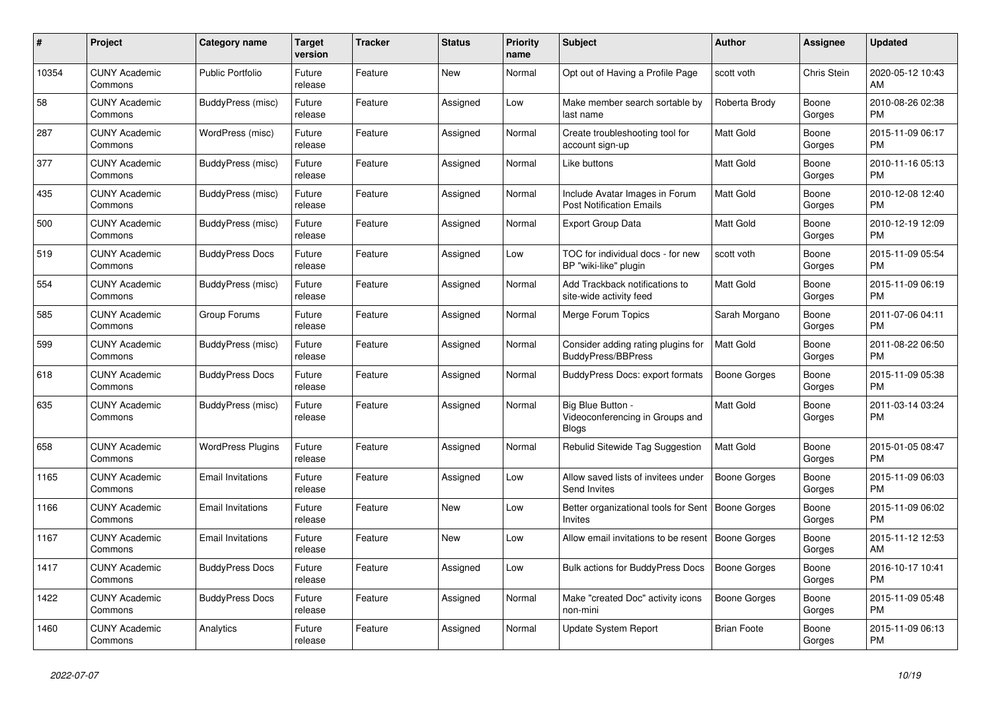| $\pmb{\#}$ | Project                         | Category name            | <b>Target</b><br>version | Tracker | <b>Status</b> | <b>Priority</b><br>name | <b>Subject</b>                                                       | <b>Author</b>       | Assignee        | <b>Updated</b>                |
|------------|---------------------------------|--------------------------|--------------------------|---------|---------------|-------------------------|----------------------------------------------------------------------|---------------------|-----------------|-------------------------------|
| 10354      | <b>CUNY Academic</b><br>Commons | <b>Public Portfolio</b>  | Future<br>release        | Feature | <b>New</b>    | Normal                  | Opt out of Having a Profile Page                                     | scott voth          | Chris Stein     | 2020-05-12 10:43<br>AM        |
| 58         | <b>CUNY Academic</b><br>Commons | BuddyPress (misc)        | Future<br>release        | Feature | Assigned      | Low                     | Make member search sortable by<br>last name                          | Roberta Brody       | Boone<br>Gorges | 2010-08-26 02:38<br>PM        |
| 287        | <b>CUNY Academic</b><br>Commons | WordPress (misc)         | Future<br>release        | Feature | Assigned      | Normal                  | Create troubleshooting tool for<br>account sign-up                   | Matt Gold           | Boone<br>Gorges | 2015-11-09 06:17<br><b>PM</b> |
| 377        | <b>CUNY Academic</b><br>Commons | BuddyPress (misc)        | Future<br>release        | Feature | Assigned      | Normal                  | Like buttons                                                         | <b>Matt Gold</b>    | Boone<br>Gorges | 2010-11-16 05:13<br><b>PM</b> |
| 435        | <b>CUNY Academic</b><br>Commons | BuddyPress (misc)        | Future<br>release        | Feature | Assigned      | Normal                  | Include Avatar Images in Forum<br><b>Post Notification Emails</b>    | <b>Matt Gold</b>    | Boone<br>Gorges | 2010-12-08 12:40<br>PM        |
| 500        | <b>CUNY Academic</b><br>Commons | BuddyPress (misc)        | Future<br>release        | Feature | Assigned      | Normal                  | <b>Export Group Data</b>                                             | Matt Gold           | Boone<br>Gorges | 2010-12-19 12:09<br><b>PM</b> |
| 519        | <b>CUNY Academic</b><br>Commons | <b>BuddyPress Docs</b>   | Future<br>release        | Feature | Assigned      | Low                     | TOC for individual docs - for new<br>BP "wiki-like" plugin           | scott voth          | Boone<br>Gorges | 2015-11-09 05:54<br><b>PM</b> |
| 554        | <b>CUNY Academic</b><br>Commons | BuddyPress (misc)        | Future<br>release        | Feature | Assigned      | Normal                  | Add Trackback notifications to<br>site-wide activity feed            | Matt Gold           | Boone<br>Gorges | 2015-11-09 06:19<br><b>PM</b> |
| 585        | <b>CUNY Academic</b><br>Commons | Group Forums             | Future<br>release        | Feature | Assigned      | Normal                  | Merge Forum Topics                                                   | Sarah Morgano       | Boone<br>Gorges | 2011-07-06 04:11<br><b>PM</b> |
| 599        | <b>CUNY Academic</b><br>Commons | BuddyPress (misc)        | Future<br>release        | Feature | Assigned      | Normal                  | Consider adding rating plugins for<br>BuddyPress/BBPress             | Matt Gold           | Boone<br>Gorges | 2011-08-22 06:50<br>PM        |
| 618        | <b>CUNY Academic</b><br>Commons | <b>BuddyPress Docs</b>   | Future<br>release        | Feature | Assigned      | Normal                  | BuddyPress Docs: export formats                                      | <b>Boone Gorges</b> | Boone<br>Gorges | 2015-11-09 05:38<br><b>PM</b> |
| 635        | <b>CUNY Academic</b><br>Commons | BuddyPress (misc)        | Future<br>release        | Feature | Assigned      | Normal                  | Big Blue Button -<br>Videoconferencing in Groups and<br><b>Blogs</b> | <b>Matt Gold</b>    | Boone<br>Gorges | 2011-03-14 03:24<br><b>PM</b> |
| 658        | <b>CUNY Academic</b><br>Commons | <b>WordPress Plugins</b> | Future<br>release        | Feature | Assigned      | Normal                  | Rebulid Sitewide Tag Suggestion                                      | <b>Matt Gold</b>    | Boone<br>Gorges | 2015-01-05 08:47<br>PM        |
| 1165       | <b>CUNY Academic</b><br>Commons | <b>Email Invitations</b> | Future<br>release        | Feature | Assigned      | Low                     | Allow saved lists of invitees under<br>Send Invites                  | Boone Gorges        | Boone<br>Gorges | 2015-11-09 06:03<br><b>PM</b> |
| 1166       | <b>CUNY Academic</b><br>Commons | <b>Email Invitations</b> | Future<br>release        | Feature | New           | Low                     | Better organizational tools for Sent<br>Invites                      | Boone Gorges        | Boone<br>Gorges | 2015-11-09 06:02<br>PM        |
| 1167       | <b>CUNY Academic</b><br>Commons | <b>Email Invitations</b> | Future<br>release        | Feature | <b>New</b>    | Low                     | Allow email invitations to be resent                                 | Boone Gorges        | Boone<br>Gorges | 2015-11-12 12:53<br>AM        |
| 1417       | <b>CUNY Academic</b><br>Commons | <b>BuddyPress Docs</b>   | Future<br>release        | Feature | Assigned      | Low                     | Bulk actions for BuddyPress Docs                                     | <b>Boone Gorges</b> | Boone<br>Gorges | 2016-10-17 10:41<br><b>PM</b> |
| 1422       | <b>CUNY Academic</b><br>Commons | <b>BuddyPress Docs</b>   | Future<br>release        | Feature | Assigned      | Normal                  | Make "created Doc" activity icons<br>non-mini                        | <b>Boone Gorges</b> | Boone<br>Gorges | 2015-11-09 05:48<br>PM        |
| 1460       | <b>CUNY Academic</b><br>Commons | Analytics                | Future<br>release        | Feature | Assigned      | Normal                  | Update System Report                                                 | <b>Brian Foote</b>  | Boone<br>Gorges | 2015-11-09 06:13<br><b>PM</b> |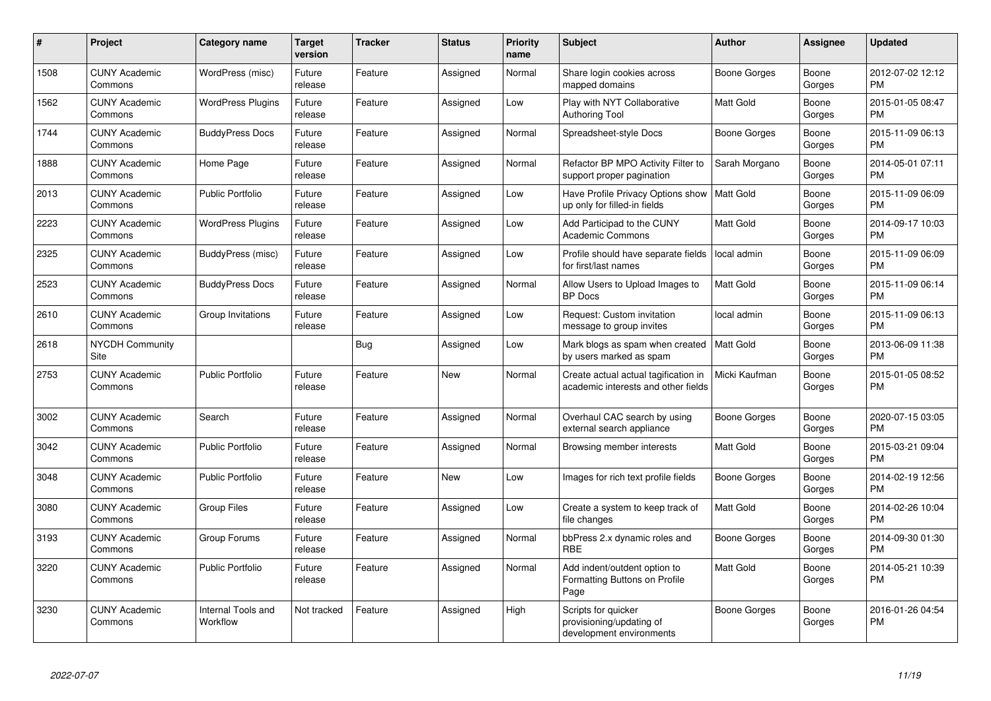| #    | Project                         | <b>Category name</b>           | <b>Target</b><br>version | <b>Tracker</b> | <b>Status</b> | <b>Priority</b><br>name | <b>Subject</b>                                                              | <b>Author</b>       | <b>Assignee</b> | <b>Updated</b>                |
|------|---------------------------------|--------------------------------|--------------------------|----------------|---------------|-------------------------|-----------------------------------------------------------------------------|---------------------|-----------------|-------------------------------|
| 1508 | <b>CUNY Academic</b><br>Commons | WordPress (misc)               | Future<br>release        | Feature        | Assigned      | Normal                  | Share login cookies across<br>mapped domains                                | <b>Boone Gorges</b> | Boone<br>Gorges | 2012-07-02 12:12<br><b>PM</b> |
| 1562 | <b>CUNY Academic</b><br>Commons | <b>WordPress Plugins</b>       | Future<br>release        | Feature        | Assigned      | Low                     | Play with NYT Collaborative<br><b>Authoring Tool</b>                        | <b>Matt Gold</b>    | Boone<br>Gorges | 2015-01-05 08:47<br>PM        |
| 1744 | <b>CUNY Academic</b><br>Commons | <b>BuddyPress Docs</b>         | Future<br>release        | Feature        | Assigned      | Normal                  | Spreadsheet-style Docs                                                      | Boone Gorges        | Boone<br>Gorges | 2015-11-09 06:13<br>PM        |
| 1888 | <b>CUNY Academic</b><br>Commons | Home Page                      | Future<br>release        | Feature        | Assigned      | Normal                  | Refactor BP MPO Activity Filter to<br>support proper pagination             | Sarah Morgano       | Boone<br>Gorges | 2014-05-01 07:11<br><b>PM</b> |
| 2013 | <b>CUNY Academic</b><br>Commons | <b>Public Portfolio</b>        | Future<br>release        | Feature        | Assigned      | Low                     | Have Profile Privacy Options show<br>up only for filled-in fields           | Matt Gold           | Boone<br>Gorges | 2015-11-09 06:09<br><b>PM</b> |
| 2223 | <b>CUNY Academic</b><br>Commons | <b>WordPress Plugins</b>       | Future<br>release        | Feature        | Assigned      | Low                     | Add Participad to the CUNY<br><b>Academic Commons</b>                       | <b>Matt Gold</b>    | Boone<br>Gorges | 2014-09-17 10:03<br><b>PM</b> |
| 2325 | <b>CUNY Academic</b><br>Commons | BuddyPress (misc)              | Future<br>release        | Feature        | Assigned      | Low                     | Profile should have separate fields<br>for first/last names                 | local admin         | Boone<br>Gorges | 2015-11-09 06:09<br><b>PM</b> |
| 2523 | <b>CUNY Academic</b><br>Commons | <b>BuddyPress Docs</b>         | Future<br>release        | Feature        | Assigned      | Normal                  | Allow Users to Upload Images to<br><b>BP</b> Docs                           | <b>Matt Gold</b>    | Boone<br>Gorges | 2015-11-09 06:14<br><b>PM</b> |
| 2610 | <b>CUNY Academic</b><br>Commons | Group Invitations              | Future<br>release        | Feature        | Assigned      | Low                     | Request: Custom invitation<br>message to group invites                      | local admin         | Boone<br>Gorges | 2015-11-09 06:13<br><b>PM</b> |
| 2618 | <b>NYCDH Community</b><br>Site  |                                |                          | <b>Bug</b>     | Assigned      | Low                     | Mark blogs as spam when created<br>by users marked as spam                  | <b>Matt Gold</b>    | Boone<br>Gorges | 2013-06-09 11:38<br><b>PM</b> |
| 2753 | <b>CUNY Academic</b><br>Commons | <b>Public Portfolio</b>        | Future<br>release        | Feature        | <b>New</b>    | Normal                  | Create actual actual tagification in<br>academic interests and other fields | Micki Kaufman       | Boone<br>Gorges | 2015-01-05 08:52<br><b>PM</b> |
| 3002 | <b>CUNY Academic</b><br>Commons | Search                         | Future<br>release        | Feature        | Assigned      | Normal                  | Overhaul CAC search by using<br>external search appliance                   | Boone Gorges        | Boone<br>Gorges | 2020-07-15 03:05<br><b>PM</b> |
| 3042 | <b>CUNY Academic</b><br>Commons | <b>Public Portfolio</b>        | Future<br>release        | Feature        | Assigned      | Normal                  | Browsing member interests                                                   | <b>Matt Gold</b>    | Boone<br>Gorges | 2015-03-21 09:04<br><b>PM</b> |
| 3048 | <b>CUNY Academic</b><br>Commons | <b>Public Portfolio</b>        | Future<br>release        | Feature        | <b>New</b>    | Low                     | Images for rich text profile fields                                         | Boone Gorges        | Boone<br>Gorges | 2014-02-19 12:56<br><b>PM</b> |
| 3080 | <b>CUNY Academic</b><br>Commons | <b>Group Files</b>             | Future<br>release        | Feature        | Assigned      | Low                     | Create a system to keep track of<br>file changes                            | <b>Matt Gold</b>    | Boone<br>Gorges | 2014-02-26 10:04<br><b>PM</b> |
| 3193 | <b>CUNY Academic</b><br>Commons | Group Forums                   | Future<br>release        | Feature        | Assigned      | Normal                  | bbPress 2.x dynamic roles and<br>RBE                                        | Boone Gorges        | Boone<br>Gorges | 2014-09-30 01:30<br><b>PM</b> |
| 3220 | <b>CUNY Academic</b><br>Commons | <b>Public Portfolio</b>        | Future<br>release        | Feature        | Assigned      | Normal                  | Add indent/outdent option to<br>Formatting Buttons on Profile<br>Page       | <b>Matt Gold</b>    | Boone<br>Gorges | 2014-05-21 10:39<br>PM        |
| 3230 | <b>CUNY Academic</b><br>Commons | Internal Tools and<br>Workflow | Not tracked              | Feature        | Assigned      | High                    | Scripts for quicker<br>provisioning/updating of<br>development environments | <b>Boone Gorges</b> | Boone<br>Gorges | 2016-01-26 04:54<br><b>PM</b> |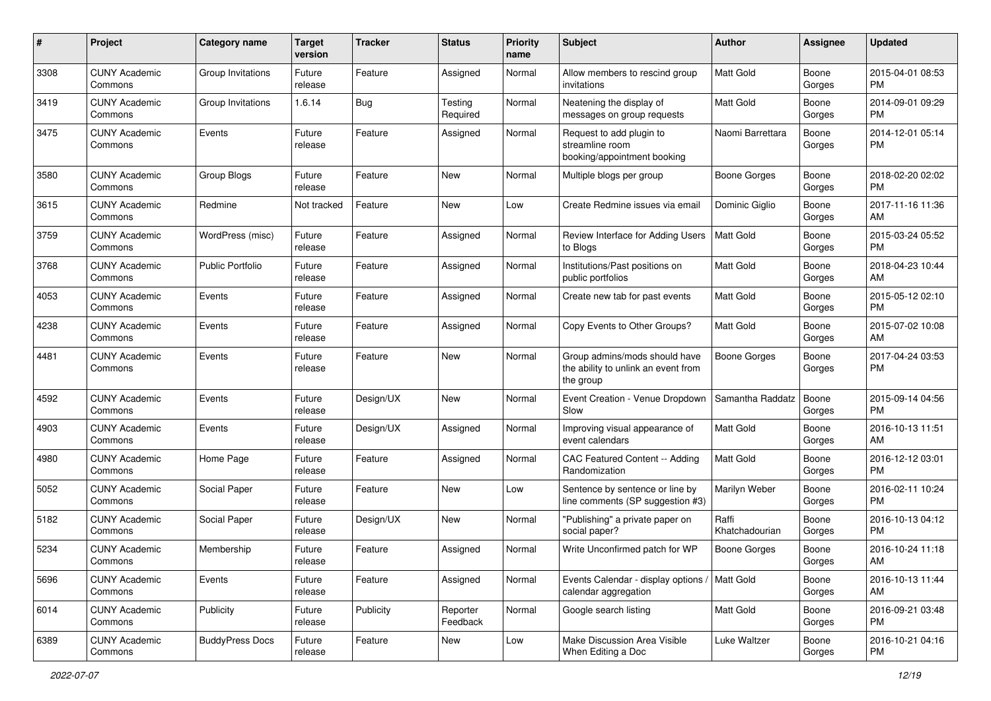| #    | Project                         | <b>Category name</b>    | <b>Target</b><br>version | <b>Tracker</b> | <b>Status</b>        | <b>Priority</b><br>name | <b>Subject</b>                                                                    | Author                  | <b>Assignee</b> | <b>Updated</b>                |
|------|---------------------------------|-------------------------|--------------------------|----------------|----------------------|-------------------------|-----------------------------------------------------------------------------------|-------------------------|-----------------|-------------------------------|
| 3308 | <b>CUNY Academic</b><br>Commons | Group Invitations       | Future<br>release        | Feature        | Assigned             | Normal                  | Allow members to rescind group<br>invitations                                     | <b>Matt Gold</b>        | Boone<br>Gorges | 2015-04-01 08:53<br>PM        |
| 3419 | <b>CUNY Academic</b><br>Commons | Group Invitations       | 1.6.14                   | <b>Bug</b>     | Testing<br>Required  | Normal                  | Neatening the display of<br>messages on group requests                            | Matt Gold               | Boone<br>Gorges | 2014-09-01 09:29<br>PM        |
| 3475 | <b>CUNY Academic</b><br>Commons | Events                  | Future<br>release        | Feature        | Assigned             | Normal                  | Request to add plugin to<br>streamline room<br>booking/appointment booking        | Naomi Barrettara        | Boone<br>Gorges | 2014-12-01 05:14<br>PM        |
| 3580 | <b>CUNY Academic</b><br>Commons | Group Blogs             | Future<br>release        | Feature        | New                  | Normal                  | Multiple blogs per group                                                          | Boone Gorges            | Boone<br>Gorges | 2018-02-20 02:02<br>PM        |
| 3615 | <b>CUNY Academic</b><br>Commons | Redmine                 | Not tracked              | Feature        | New                  | Low                     | Create Redmine issues via email                                                   | Dominic Giglio          | Boone<br>Gorges | 2017-11-16 11:36<br>AM        |
| 3759 | <b>CUNY Academic</b><br>Commons | WordPress (misc)        | Future<br>release        | Feature        | Assigned             | Normal                  | Review Interface for Adding Users<br>to Blogs                                     | Matt Gold               | Boone<br>Gorges | 2015-03-24 05:52<br>PM        |
| 3768 | <b>CUNY Academic</b><br>Commons | <b>Public Portfolio</b> | Future<br>release        | Feature        | Assigned             | Normal                  | Institutions/Past positions on<br>public portfolios                               | Matt Gold               | Boone<br>Gorges | 2018-04-23 10:44<br>AM        |
| 4053 | <b>CUNY Academic</b><br>Commons | Events                  | Future<br>release        | Feature        | Assigned             | Normal                  | Create new tab for past events                                                    | <b>Matt Gold</b>        | Boone<br>Gorges | 2015-05-12 02:10<br>PM        |
| 4238 | <b>CUNY Academic</b><br>Commons | Events                  | Future<br>release        | Feature        | Assigned             | Normal                  | Copy Events to Other Groups?                                                      | <b>Matt Gold</b>        | Boone<br>Gorges | 2015-07-02 10:08<br>AM        |
| 4481 | <b>CUNY Academic</b><br>Commons | Events                  | Future<br>release        | Feature        | New                  | Normal                  | Group admins/mods should have<br>the ability to unlink an event from<br>the group | Boone Gorges            | Boone<br>Gorges | 2017-04-24 03:53<br>PM        |
| 4592 | <b>CUNY Academic</b><br>Commons | Events                  | Future<br>release        | Design/UX      | New                  | Normal                  | Event Creation - Venue Dropdown<br>Slow                                           | Samantha Raddatz        | Boone<br>Gorges | 2015-09-14 04:56<br>PM        |
| 4903 | <b>CUNY Academic</b><br>Commons | Events                  | Future<br>release        | Design/UX      | Assigned             | Normal                  | Improving visual appearance of<br>event calendars                                 | <b>Matt Gold</b>        | Boone<br>Gorges | 2016-10-13 11:51<br>AM        |
| 4980 | <b>CUNY Academic</b><br>Commons | Home Page               | Future<br>release        | Feature        | Assigned             | Normal                  | CAC Featured Content -- Adding<br>Randomization                                   | <b>Matt Gold</b>        | Boone<br>Gorges | 2016-12-12 03:01<br>PM        |
| 5052 | <b>CUNY Academic</b><br>Commons | Social Paper            | Future<br>release        | Feature        | New                  | Low                     | Sentence by sentence or line by<br>line comments (SP suggestion #3)               | Marilyn Weber           | Boone<br>Gorges | 2016-02-11 10:24<br>PM        |
| 5182 | <b>CUNY Academic</b><br>Commons | Social Paper            | Future<br>release        | Design/UX      | New                  | Normal                  | "Publishing" a private paper on<br>social paper?                                  | Raffi<br>Khatchadourian | Boone<br>Gorges | 2016-10-13 04:12<br>PM        |
| 5234 | <b>CUNY Academic</b><br>Commons | Membership              | Future<br>release        | Feature        | Assigned             | Normal                  | Write Unconfirmed patch for WP                                                    | Boone Gorges            | Boone<br>Gorges | 2016-10-24 11:18<br>AM        |
| 5696 | <b>CUNY Academic</b><br>Commons | Events                  | Future<br>release        | Feature        | Assigned             | Normal                  | Events Calendar - display options<br>calendar aggregation                         | Matt Gold               | Boone<br>Gorges | 2016-10-13 11:44<br>AM        |
| 6014 | <b>CUNY Academic</b><br>Commons | Publicity               | Future<br>release        | Publicity      | Reporter<br>Feedback | Normal                  | Google search listing                                                             | Matt Gold               | Boone<br>Gorges | 2016-09-21 03:48<br><b>PM</b> |
| 6389 | <b>CUNY Academic</b><br>Commons | <b>BuddyPress Docs</b>  | Future<br>release        | Feature        | New                  | Low                     | Make Discussion Area Visible<br>When Editing a Doc                                | Luke Waltzer            | Boone<br>Gorges | 2016-10-21 04:16<br><b>PM</b> |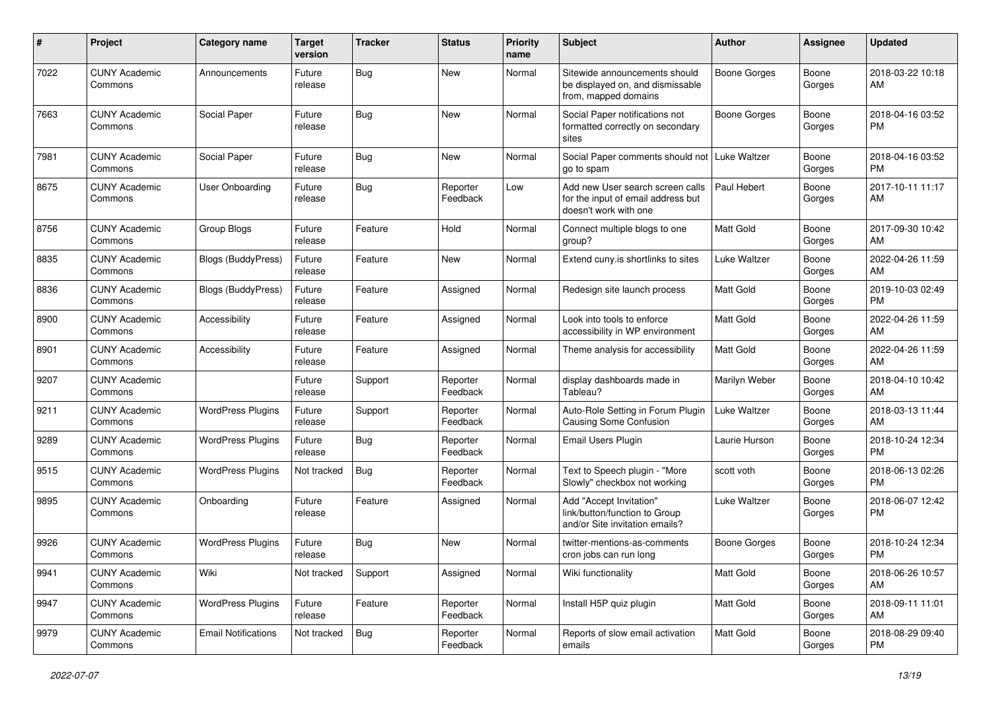| $\#$ | Project                         | <b>Category name</b>       | <b>Target</b><br>version | <b>Tracker</b> | <b>Status</b>        | <b>Priority</b><br>name | <b>Subject</b>                                                                                  | Author              | <b>Assignee</b> | <b>Updated</b>                |
|------|---------------------------------|----------------------------|--------------------------|----------------|----------------------|-------------------------|-------------------------------------------------------------------------------------------------|---------------------|-----------------|-------------------------------|
| 7022 | <b>CUNY Academic</b><br>Commons | Announcements              | Future<br>release        | <b>Bug</b>     | New                  | Normal                  | Sitewide announcements should<br>be displayed on, and dismissable<br>from, mapped domains       | <b>Boone Gorges</b> | Boone<br>Gorges | 2018-03-22 10:18<br>AM        |
| 7663 | <b>CUNY Academic</b><br>Commons | Social Paper               | Future<br>release        | <b>Bug</b>     | New                  | Normal                  | Social Paper notifications not<br>formatted correctly on secondary<br>sites                     | <b>Boone Gorges</b> | Boone<br>Gorges | 2018-04-16 03:52<br>PM        |
| 7981 | <b>CUNY Academic</b><br>Commons | Social Paper               | Future<br>release        | <b>Bug</b>     | New                  | Normal                  | Social Paper comments should not<br>go to spam                                                  | Luke Waltzer        | Boone<br>Gorges | 2018-04-16 03:52<br>PM        |
| 8675 | <b>CUNY Academic</b><br>Commons | User Onboarding            | Future<br>release        | Bug            | Reporter<br>Feedback | Low                     | Add new User search screen calls<br>for the input of email address but<br>doesn't work with one | Paul Hebert         | Boone<br>Gorges | 2017-10-11 11:17<br>AM        |
| 8756 | <b>CUNY Academic</b><br>Commons | Group Blogs                | Future<br>release        | Feature        | Hold                 | Normal                  | Connect multiple blogs to one<br>group?                                                         | <b>Matt Gold</b>    | Boone<br>Gorges | 2017-09-30 10:42<br>AM        |
| 8835 | <b>CUNY Academic</b><br>Commons | Blogs (BuddyPress)         | Future<br>release        | Feature        | New                  | Normal                  | Extend cuny is shortlinks to sites                                                              | <b>Luke Waltzer</b> | Boone<br>Gorges | 2022-04-26 11:59<br>AM        |
| 8836 | <b>CUNY Academic</b><br>Commons | <b>Blogs (BuddyPress)</b>  | Future<br>release        | Feature        | Assigned             | Normal                  | Redesign site launch process                                                                    | <b>Matt Gold</b>    | Boone<br>Gorges | 2019-10-03 02:49<br><b>PM</b> |
| 8900 | <b>CUNY Academic</b><br>Commons | Accessibility              | Future<br>release        | Feature        | Assigned             | Normal                  | Look into tools to enforce<br>accessibility in WP environment                                   | Matt Gold           | Boone<br>Gorges | 2022-04-26 11:59<br>AM        |
| 8901 | <b>CUNY Academic</b><br>Commons | Accessibility              | Future<br>release        | Feature        | Assigned             | Normal                  | Theme analysis for accessibility                                                                | <b>Matt Gold</b>    | Boone<br>Gorges | 2022-04-26 11:59<br>AM        |
| 9207 | <b>CUNY Academic</b><br>Commons |                            | Future<br>release        | Support        | Reporter<br>Feedback | Normal                  | display dashboards made in<br>Tableau?                                                          | Marilyn Weber       | Boone<br>Gorges | 2018-04-10 10:42<br>AM        |
| 9211 | <b>CUNY Academic</b><br>Commons | <b>WordPress Plugins</b>   | Future<br>release        | Support        | Reporter<br>Feedback | Normal                  | Auto-Role Setting in Forum Plugin<br>Causing Some Confusion                                     | Luke Waltzer        | Boone<br>Gorges | 2018-03-13 11:44<br>AM        |
| 9289 | <b>CUNY Academic</b><br>Commons | <b>WordPress Plugins</b>   | Future<br>release        | Bug            | Reporter<br>Feedback | Normal                  | Email Users Plugin                                                                              | Laurie Hurson       | Boone<br>Gorges | 2018-10-24 12:34<br>PM        |
| 9515 | <b>CUNY Academic</b><br>Commons | <b>WordPress Plugins</b>   | Not tracked              | Bug            | Reporter<br>Feedback | Normal                  | Text to Speech plugin - "More<br>Slowly" checkbox not working                                   | scott voth          | Boone<br>Gorges | 2018-06-13 02:26<br><b>PM</b> |
| 9895 | <b>CUNY Academic</b><br>Commons | Onboarding                 | Future<br>release        | Feature        | Assigned             | Normal                  | Add "Accept Invitation"<br>link/button/function to Group<br>and/or Site invitation emails?      | Luke Waltzer        | Boone<br>Gorges | 2018-06-07 12:42<br><b>PM</b> |
| 9926 | <b>CUNY Academic</b><br>Commons | <b>WordPress Plugins</b>   | Future<br>release        | <b>Bug</b>     | New                  | Normal                  | twitter-mentions-as-comments<br>cron jobs can run long                                          | <b>Boone Gorges</b> | Boone<br>Gorges | 2018-10-24 12:34<br><b>PM</b> |
| 9941 | <b>CUNY Academic</b><br>Commons | Wiki                       | Not tracked              | Support        | Assigned             | Normal                  | Wiki functionality                                                                              | Matt Gold           | Boone<br>Gorges | 2018-06-26 10:57<br>AM        |
| 9947 | <b>CUNY Academic</b><br>Commons | <b>WordPress Plugins</b>   | Future<br>release        | Feature        | Reporter<br>Feedback | Normal                  | Install H5P quiz plugin                                                                         | Matt Gold           | Boone<br>Gorges | 2018-09-11 11:01<br>AM        |
| 9979 | <b>CUNY Academic</b><br>Commons | <b>Email Notifications</b> | Not tracked              | <b>Bug</b>     | Reporter<br>Feedback | Normal                  | Reports of slow email activation<br>emails                                                      | Matt Gold           | Boone<br>Gorges | 2018-08-29 09:40<br>PM        |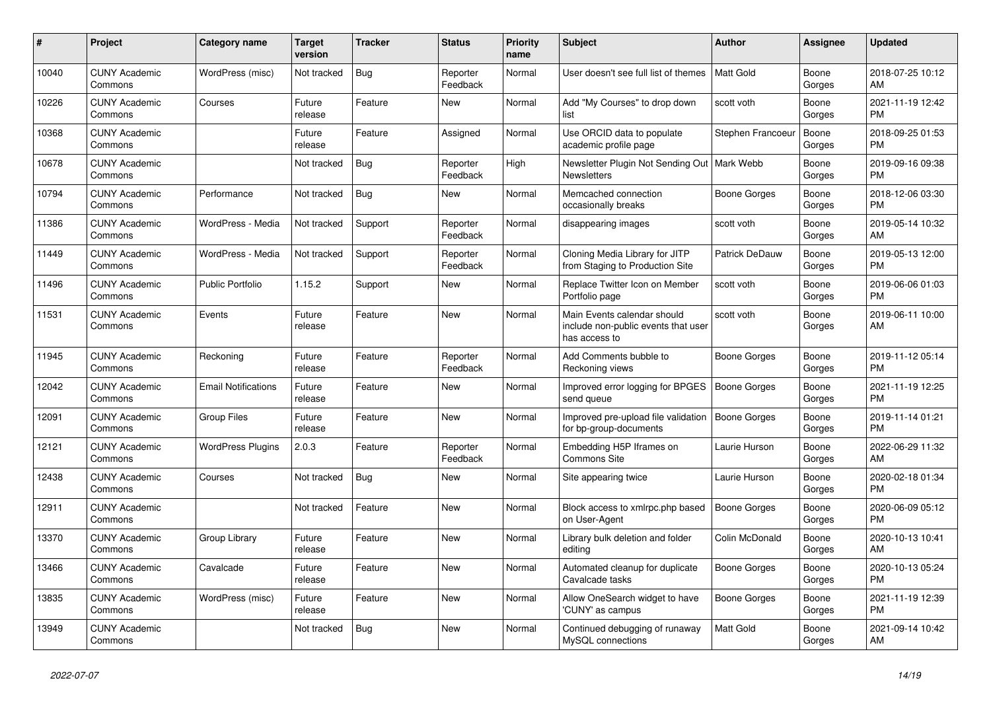| #     | <b>Project</b>                  | <b>Category name</b>       | <b>Target</b><br>version | <b>Tracker</b> | <b>Status</b>        | <b>Priority</b><br>name | <b>Subject</b>                                                                      | <b>Author</b>       | Assignee        | <b>Updated</b>                |
|-------|---------------------------------|----------------------------|--------------------------|----------------|----------------------|-------------------------|-------------------------------------------------------------------------------------|---------------------|-----------------|-------------------------------|
| 10040 | <b>CUNY Academic</b><br>Commons | WordPress (misc)           | Not tracked              | <b>Bug</b>     | Reporter<br>Feedback | Normal                  | User doesn't see full list of themes                                                | Matt Gold           | Boone<br>Gorges | 2018-07-25 10:12<br>AM        |
| 10226 | <b>CUNY Academic</b><br>Commons | Courses                    | Future<br>release        | Feature        | <b>New</b>           | Normal                  | Add "My Courses" to drop down<br>list                                               | scott voth          | Boone<br>Gorges | 2021-11-19 12:42<br>PM        |
| 10368 | <b>CUNY Academic</b><br>Commons |                            | Future<br>release        | Feature        | Assigned             | Normal                  | Use ORCID data to populate<br>academic profile page                                 | Stephen Francoeur   | Boone<br>Gorges | 2018-09-25 01:53<br><b>PM</b> |
| 10678 | <b>CUNY Academic</b><br>Commons |                            | Not tracked              | <b>Bug</b>     | Reporter<br>Feedback | High                    | Newsletter Plugin Not Sending Out   Mark Webb<br><b>Newsletters</b>                 |                     | Boone<br>Gorges | 2019-09-16 09:38<br><b>PM</b> |
| 10794 | <b>CUNY Academic</b><br>Commons | Performance                | Not tracked              | <b>Bug</b>     | New                  | Normal                  | Memcached connection<br>occasionally breaks                                         | Boone Gorges        | Boone<br>Gorges | 2018-12-06 03:30<br>PM        |
| 11386 | <b>CUNY Academic</b><br>Commons | WordPress - Media          | Not tracked              | Support        | Reporter<br>Feedback | Normal                  | disappearing images                                                                 | scott voth          | Boone<br>Gorges | 2019-05-14 10:32<br>AM        |
| 11449 | <b>CUNY Academic</b><br>Commons | WordPress - Media          | Not tracked              | Support        | Reporter<br>Feedback | Normal                  | Cloning Media Library for JITP<br>from Staging to Production Site                   | Patrick DeDauw      | Boone<br>Gorges | 2019-05-13 12:00<br><b>PM</b> |
| 11496 | <b>CUNY Academic</b><br>Commons | <b>Public Portfolio</b>    | 1.15.2                   | Support        | <b>New</b>           | Normal                  | Replace Twitter Icon on Member<br>Portfolio page                                    | scott voth          | Boone<br>Gorges | 2019-06-06 01:03<br>PM        |
| 11531 | <b>CUNY Academic</b><br>Commons | Events                     | Future<br>release        | Feature        | New                  | Normal                  | Main Events calendar should<br>include non-public events that user<br>has access to | scott voth          | Boone<br>Gorges | 2019-06-11 10:00<br>AM        |
| 11945 | <b>CUNY Academic</b><br>Commons | Reckoning                  | Future<br>release        | Feature        | Reporter<br>Feedback | Normal                  | Add Comments bubble to<br>Reckoning views                                           | Boone Gorges        | Boone<br>Gorges | 2019-11-12 05:14<br>PM        |
| 12042 | <b>CUNY Academic</b><br>Commons | <b>Email Notifications</b> | Future<br>release        | Feature        | New                  | Normal                  | Improved error logging for BPGES<br>send queue                                      | Boone Gorges        | Boone<br>Gorges | 2021-11-19 12:25<br><b>PM</b> |
| 12091 | <b>CUNY Academic</b><br>Commons | <b>Group Files</b>         | Future<br>release        | Feature        | <b>New</b>           | Normal                  | Improved pre-upload file validation<br>for bp-group-documents                       | <b>Boone Gorges</b> | Boone<br>Gorges | 2019-11-14 01:21<br>PM        |
| 12121 | <b>CUNY Academic</b><br>Commons | <b>WordPress Plugins</b>   | 2.0.3                    | Feature        | Reporter<br>Feedback | Normal                  | Embedding H5P Iframes on<br>Commons Site                                            | Laurie Hurson       | Boone<br>Gorges | 2022-06-29 11:32<br>AM        |
| 12438 | <b>CUNY Academic</b><br>Commons | Courses                    | Not tracked              | <b>Bug</b>     | New                  | Normal                  | Site appearing twice                                                                | Laurie Hurson       | Boone<br>Gorges | 2020-02-18 01:34<br><b>PM</b> |
| 12911 | <b>CUNY Academic</b><br>Commons |                            | Not tracked              | Feature        | New                  | Normal                  | Block access to xmlrpc.php based<br>on User-Agent                                   | <b>Boone Gorges</b> | Boone<br>Gorges | 2020-06-09 05:12<br>PM        |
| 13370 | <b>CUNY Academic</b><br>Commons | Group Library              | Future<br>release        | Feature        | <b>New</b>           | Normal                  | Library bulk deletion and folder<br>editing                                         | Colin McDonald      | Boone<br>Gorges | 2020-10-13 10:41<br>AM        |
| 13466 | <b>CUNY Academic</b><br>Commons | Cavalcade                  | Future<br>release        | Feature        | <b>New</b>           | Normal                  | Automated cleanup for duplicate<br>Cavalcade tasks                                  | Boone Gorges        | Boone<br>Gorges | 2020-10-13 05:24<br><b>PM</b> |
| 13835 | <b>CUNY Academic</b><br>Commons | WordPress (misc)           | Future<br>release        | Feature        | New                  | Normal                  | Allow OneSearch widget to have<br>'CUNY' as campus                                  | Boone Gorges        | Boone<br>Gorges | 2021-11-19 12:39<br>PM        |
| 13949 | <b>CUNY Academic</b><br>Commons |                            | Not tracked              | <b>Bug</b>     | <b>New</b>           | Normal                  | Continued debugging of runaway<br>MySQL connections                                 | <b>Matt Gold</b>    | Boone<br>Gorges | 2021-09-14 10:42<br>AM        |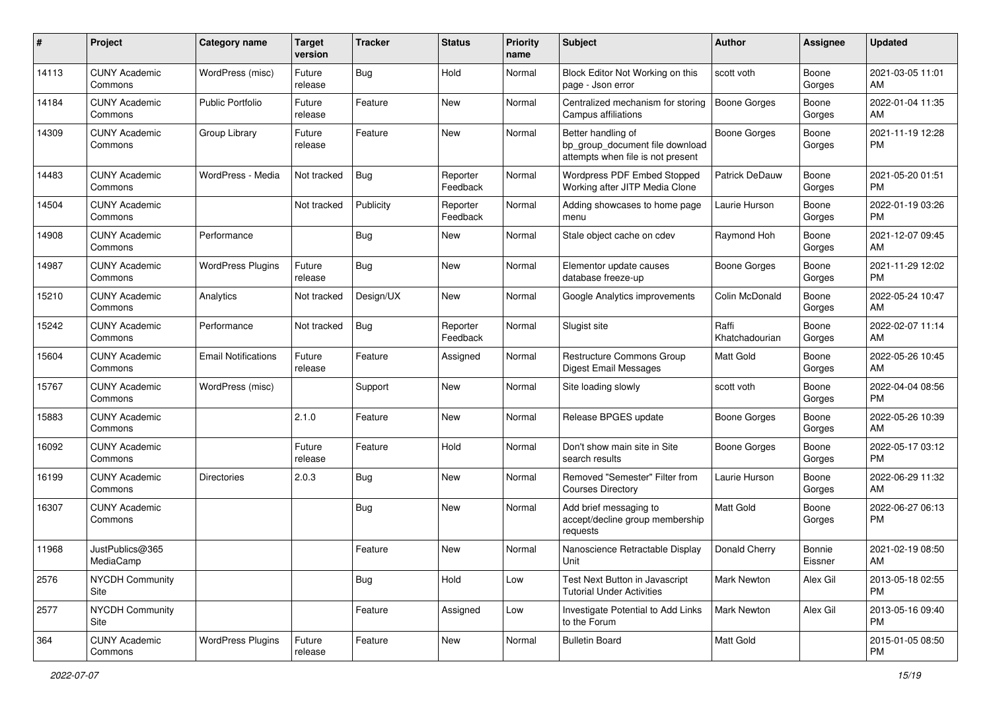| #     | Project                         | <b>Category name</b>       | <b>Target</b><br>version | <b>Tracker</b> | <b>Status</b>        | <b>Priority</b><br>name | <b>Subject</b>                                                                             | Author                  | <b>Assignee</b>   | <b>Updated</b>                |
|-------|---------------------------------|----------------------------|--------------------------|----------------|----------------------|-------------------------|--------------------------------------------------------------------------------------------|-------------------------|-------------------|-------------------------------|
| 14113 | <b>CUNY Academic</b><br>Commons | WordPress (misc)           | Future<br>release        | <b>Bug</b>     | Hold                 | Normal                  | Block Editor Not Working on this<br>page - Json error                                      | scott voth              | Boone<br>Gorges   | 2021-03-05 11:01<br>AM        |
| 14184 | <b>CUNY Academic</b><br>Commons | <b>Public Portfolio</b>    | Future<br>release        | Feature        | New                  | Normal                  | Centralized mechanism for storing<br>Campus affiliations                                   | <b>Boone Gorges</b>     | Boone<br>Gorges   | 2022-01-04 11:35<br>AM        |
| 14309 | <b>CUNY Academic</b><br>Commons | Group Library              | Future<br>release        | Feature        | New                  | Normal                  | Better handling of<br>bp group document file download<br>attempts when file is not present | <b>Boone Gorges</b>     | Boone<br>Gorges   | 2021-11-19 12:28<br><b>PM</b> |
| 14483 | <b>CUNY Academic</b><br>Commons | WordPress - Media          | Not tracked              | <b>Bug</b>     | Reporter<br>Feedback | Normal                  | Wordpress PDF Embed Stopped<br>Working after JITP Media Clone                              | <b>Patrick DeDauw</b>   | Boone<br>Gorges   | 2021-05-20 01:51<br>PM        |
| 14504 | <b>CUNY Academic</b><br>Commons |                            | Not tracked              | Publicity      | Reporter<br>Feedback | Normal                  | Adding showcases to home page<br>menu                                                      | Laurie Hurson           | Boone<br>Gorges   | 2022-01-19 03:26<br><b>PM</b> |
| 14908 | <b>CUNY Academic</b><br>Commons | Performance                |                          | <b>Bug</b>     | New                  | Normal                  | Stale object cache on cdev                                                                 | Raymond Hoh             | Boone<br>Gorges   | 2021-12-07 09:45<br>AM        |
| 14987 | <b>CUNY Academic</b><br>Commons | <b>WordPress Plugins</b>   | Future<br>release        | <b>Bug</b>     | New                  | Normal                  | Elementor update causes<br>database freeze-up                                              | <b>Boone Gorges</b>     | Boone<br>Gorges   | 2021-11-29 12:02<br>PM        |
| 15210 | <b>CUNY Academic</b><br>Commons | Analytics                  | Not tracked              | Design/UX      | New                  | Normal                  | Google Analytics improvements                                                              | Colin McDonald          | Boone<br>Gorges   | 2022-05-24 10:47<br>AM        |
| 15242 | <b>CUNY Academic</b><br>Commons | Performance                | Not tracked              | <b>Bug</b>     | Reporter<br>Feedback | Normal                  | Slugist site                                                                               | Raffi<br>Khatchadourian | Boone<br>Gorges   | 2022-02-07 11:14<br>AM        |
| 15604 | <b>CUNY Academic</b><br>Commons | <b>Email Notifications</b> | Future<br>release        | Feature        | Assigned             | Normal                  | Restructure Commons Group<br>Digest Email Messages                                         | <b>Matt Gold</b>        | Boone<br>Gorges   | 2022-05-26 10:45<br>AM        |
| 15767 | <b>CUNY Academic</b><br>Commons | WordPress (misc)           |                          | Support        | New                  | Normal                  | Site loading slowly                                                                        | scott voth              | Boone<br>Gorges   | 2022-04-04 08:56<br>PM        |
| 15883 | <b>CUNY Academic</b><br>Commons |                            | 2.1.0                    | Feature        | New                  | Normal                  | Release BPGES update                                                                       | <b>Boone Gorges</b>     | Boone<br>Gorges   | 2022-05-26 10:39<br>AM        |
| 16092 | <b>CUNY Academic</b><br>Commons |                            | Future<br>release        | Feature        | Hold                 | Normal                  | Don't show main site in Site<br>search results                                             | Boone Gorges            | Boone<br>Gorges   | 2022-05-17 03:12<br>PM        |
| 16199 | <b>CUNY Academic</b><br>Commons | <b>Directories</b>         | 2.0.3                    | Bug            | New                  | Normal                  | Removed "Semester" Filter from<br><b>Courses Directory</b>                                 | Laurie Hurson           | Boone<br>Gorges   | 2022-06-29 11:32<br>AM        |
| 16307 | <b>CUNY Academic</b><br>Commons |                            |                          | <b>Bug</b>     | New                  | Normal                  | Add brief messaging to<br>accept/decline group membership<br>requests                      | <b>Matt Gold</b>        | Boone<br>Gorges   | 2022-06-27 06:13<br><b>PM</b> |
| 11968 | JustPublics@365<br>MediaCamp    |                            |                          | Feature        | New                  | Normal                  | Nanoscience Retractable Display<br>Unit                                                    | Donald Cherry           | Bonnie<br>Eissner | 2021-02-19 08:50<br>AM        |
| 2576  | <b>NYCDH Community</b><br>Site  |                            |                          | Bug            | Hold                 | Low                     | Test Next Button in Javascript<br><b>Tutorial Under Activities</b>                         | <b>Mark Newton</b>      | Alex Gil          | 2013-05-18 02:55<br><b>PM</b> |
| 2577  | NYCDH Community<br>Site         |                            |                          | Feature        | Assigned             | Low                     | Investigate Potential to Add Links<br>to the Forum                                         | Mark Newton             | Alex Gil          | 2013-05-16 09:40<br><b>PM</b> |
| 364   | <b>CUNY Academic</b><br>Commons | <b>WordPress Plugins</b>   | Future<br>release        | Feature        | New                  | Normal                  | <b>Bulletin Board</b>                                                                      | Matt Gold               |                   | 2015-01-05 08:50<br><b>PM</b> |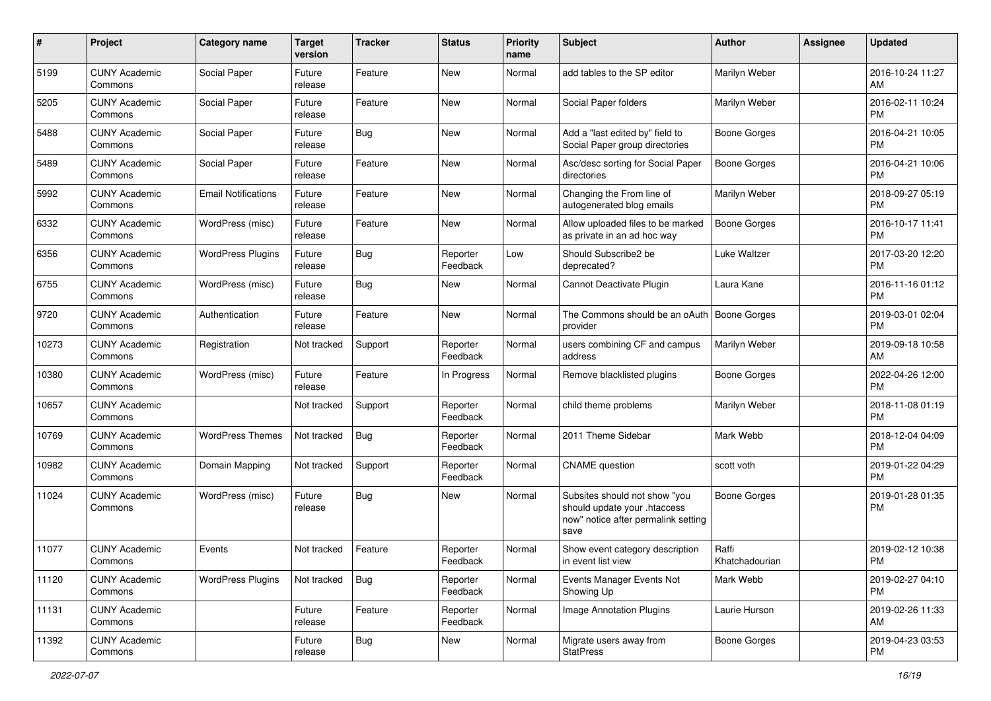| #     | Project                         | <b>Category name</b>       | <b>Target</b><br>version | <b>Tracker</b> | <b>Status</b>        | <b>Priority</b><br>name | Subject                                                                                                      | <b>Author</b>           | Assignee | <b>Updated</b>                |
|-------|---------------------------------|----------------------------|--------------------------|----------------|----------------------|-------------------------|--------------------------------------------------------------------------------------------------------------|-------------------------|----------|-------------------------------|
| 5199  | <b>CUNY Academic</b><br>Commons | Social Paper               | Future<br>release        | Feature        | New                  | Normal                  | add tables to the SP editor                                                                                  | Marilyn Weber           |          | 2016-10-24 11:27<br>AM        |
| 5205  | <b>CUNY Academic</b><br>Commons | Social Paper               | Future<br>release        | Feature        | New                  | Normal                  | Social Paper folders                                                                                         | Marilyn Weber           |          | 2016-02-11 10:24<br><b>PM</b> |
| 5488  | <b>CUNY Academic</b><br>Commons | Social Paper               | Future<br>release        | <b>Bug</b>     | New                  | Normal                  | Add a "last edited by" field to<br>Social Paper group directories                                            | <b>Boone Gorges</b>     |          | 2016-04-21 10:05<br><b>PM</b> |
| 5489  | <b>CUNY Academic</b><br>Commons | Social Paper               | Future<br>release        | Feature        | <b>New</b>           | Normal                  | Asc/desc sorting for Social Paper<br>directories                                                             | <b>Boone Gorges</b>     |          | 2016-04-21 10:06<br>PM        |
| 5992  | <b>CUNY Academic</b><br>Commons | <b>Email Notifications</b> | Future<br>release        | Feature        | New                  | Normal                  | Changing the From line of<br>autogenerated blog emails                                                       | Marilyn Weber           |          | 2018-09-27 05:19<br><b>PM</b> |
| 6332  | <b>CUNY Academic</b><br>Commons | WordPress (misc)           | Future<br>release        | Feature        | New                  | Normal                  | Allow uploaded files to be marked<br>as private in an ad hoc way                                             | <b>Boone Gorges</b>     |          | 2016-10-17 11:41<br>PM        |
| 6356  | <b>CUNY Academic</b><br>Commons | <b>WordPress Plugins</b>   | Future<br>release        | <b>Bug</b>     | Reporter<br>Feedback | Low                     | Should Subscribe2 be<br>deprecated?                                                                          | Luke Waltzer            |          | 2017-03-20 12:20<br><b>PM</b> |
| 6755  | <b>CUNY Academic</b><br>Commons | WordPress (misc)           | Future<br>release        | <b>Bug</b>     | New                  | Normal                  | Cannot Deactivate Plugin                                                                                     | Laura Kane              |          | 2016-11-16 01:12<br>PM        |
| 9720  | <b>CUNY Academic</b><br>Commons | Authentication             | Future<br>release        | Feature        | New                  | Normal                  | The Commons should be an oAuth   Boone Gorges<br>provider                                                    |                         |          | 2019-03-01 02:04<br><b>PM</b> |
| 10273 | <b>CUNY Academic</b><br>Commons | Registration               | Not tracked              | Support        | Reporter<br>Feedback | Normal                  | users combining CF and campus<br>address                                                                     | Marilyn Weber           |          | 2019-09-18 10:58<br>AM        |
| 10380 | <b>CUNY Academic</b><br>Commons | WordPress (misc)           | Future<br>release        | Feature        | In Progress          | Normal                  | Remove blacklisted plugins                                                                                   | <b>Boone Gorges</b>     |          | 2022-04-26 12:00<br><b>PM</b> |
| 10657 | <b>CUNY Academic</b><br>Commons |                            | Not tracked              | Support        | Reporter<br>Feedback | Normal                  | child theme problems                                                                                         | Marilyn Weber           |          | 2018-11-08 01:19<br><b>PM</b> |
| 10769 | <b>CUNY Academic</b><br>Commons | <b>WordPress Themes</b>    | Not tracked              | <b>Bug</b>     | Reporter<br>Feedback | Normal                  | 2011 Theme Sidebar                                                                                           | Mark Webb               |          | 2018-12-04 04:09<br><b>PM</b> |
| 10982 | <b>CUNY Academic</b><br>Commons | Domain Mapping             | Not tracked              | Support        | Reporter<br>Feedback | Normal                  | <b>CNAME</b> question                                                                                        | scott voth              |          | 2019-01-22 04:29<br><b>PM</b> |
| 11024 | <b>CUNY Academic</b><br>Commons | WordPress (misc)           | Future<br>release        | Bug            | New                  | Normal                  | Subsites should not show "you<br>should update your .htaccess<br>now" notice after permalink setting<br>save | Boone Gorges            |          | 2019-01-28 01:35<br>PM        |
| 11077 | <b>CUNY Academic</b><br>Commons | Events                     | Not tracked              | Feature        | Reporter<br>Feedback | Normal                  | Show event category description<br>in event list view                                                        | Raffi<br>Khatchadourian |          | 2019-02-12 10:38<br>PM        |
| 11120 | <b>CUNY Academic</b><br>Commons | <b>WordPress Plugins</b>   | Not tracked              | Bug            | Reporter<br>Feedback | Normal                  | Events Manager Events Not<br>Showing Up                                                                      | Mark Webb               |          | 2019-02-27 04:10<br><b>PM</b> |
| 11131 | <b>CUNY Academic</b><br>Commons |                            | Future<br>release        | Feature        | Reporter<br>Feedback | Normal                  | Image Annotation Plugins                                                                                     | Laurie Hurson           |          | 2019-02-26 11:33<br>AM        |
| 11392 | <b>CUNY Academic</b><br>Commons |                            | Future<br>release        | Bug            | New                  | Normal                  | Migrate users away from<br><b>StatPress</b>                                                                  | Boone Gorges            |          | 2019-04-23 03:53<br><b>PM</b> |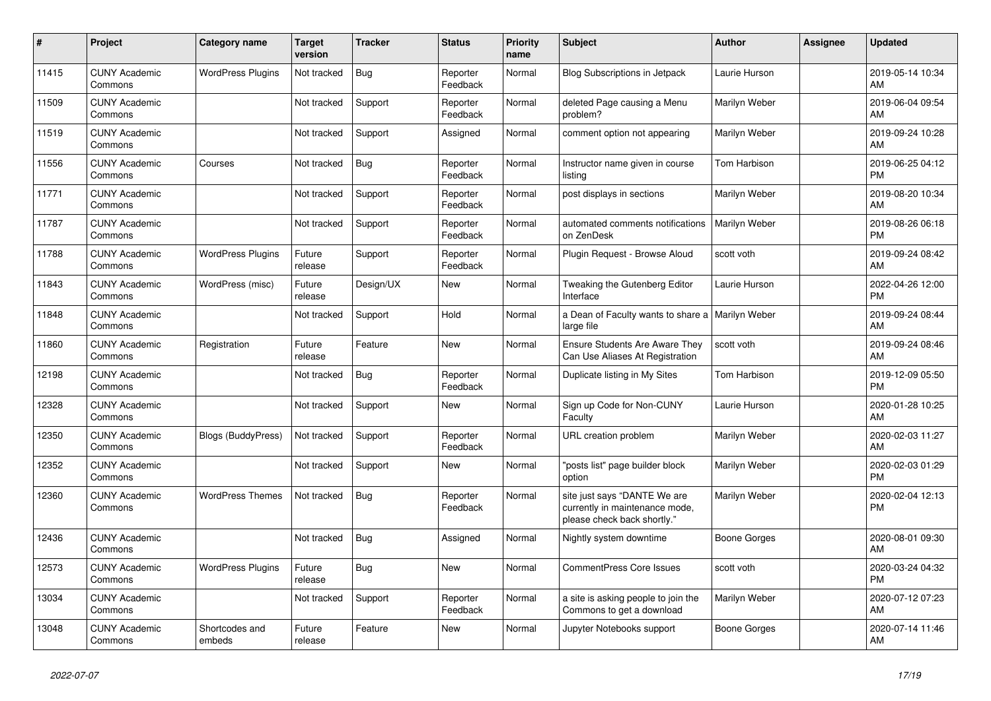| #     | Project                         | <b>Category name</b>      | <b>Target</b><br>version | <b>Tracker</b> | <b>Status</b>        | <b>Priority</b><br>name | <b>Subject</b>                                                                                | <b>Author</b>        | <b>Assignee</b> | <b>Updated</b>                |
|-------|---------------------------------|---------------------------|--------------------------|----------------|----------------------|-------------------------|-----------------------------------------------------------------------------------------------|----------------------|-----------------|-------------------------------|
| 11415 | <b>CUNY Academic</b><br>Commons | <b>WordPress Plugins</b>  | Not tracked              | <b>Bug</b>     | Reporter<br>Feedback | Normal                  | <b>Blog Subscriptions in Jetpack</b>                                                          | Laurie Hurson        |                 | 2019-05-14 10:34<br>AM        |
| 11509 | <b>CUNY Academic</b><br>Commons |                           | Not tracked              | Support        | Reporter<br>Feedback | Normal                  | deleted Page causing a Menu<br>problem?                                                       | Marilyn Weber        |                 | 2019-06-04 09:54<br>AM        |
| 11519 | <b>CUNY Academic</b><br>Commons |                           | Not tracked              | Support        | Assigned             | Normal                  | comment option not appearing                                                                  | Marilyn Weber        |                 | 2019-09-24 10:28<br>AM        |
| 11556 | <b>CUNY Academic</b><br>Commons | Courses                   | Not tracked              | <b>Bug</b>     | Reporter<br>Feedback | Normal                  | Instructor name given in course<br>listing                                                    | Tom Harbison         |                 | 2019-06-25 04:12<br>PM        |
| 11771 | <b>CUNY Academic</b><br>Commons |                           | Not tracked              | Support        | Reporter<br>Feedback | Normal                  | post displays in sections                                                                     | Marilyn Weber        |                 | 2019-08-20 10:34<br>AM        |
| 11787 | <b>CUNY Academic</b><br>Commons |                           | Not tracked              | Support        | Reporter<br>Feedback | Normal                  | automated comments notifications<br>on ZenDesk                                                | <b>Marilyn Weber</b> |                 | 2019-08-26 06:18<br><b>PM</b> |
| 11788 | <b>CUNY Academic</b><br>Commons | <b>WordPress Plugins</b>  | Future<br>release        | Support        | Reporter<br>Feedback | Normal                  | Plugin Request - Browse Aloud                                                                 | scott voth           |                 | 2019-09-24 08:42<br>AM        |
| 11843 | <b>CUNY Academic</b><br>Commons | WordPress (misc)          | Future<br>release        | Design/UX      | <b>New</b>           | Normal                  | Tweaking the Gutenberg Editor<br>Interface                                                    | Laurie Hurson        |                 | 2022-04-26 12:00<br>PM        |
| 11848 | <b>CUNY Academic</b><br>Commons |                           | Not tracked              | Support        | Hold                 | Normal                  | a Dean of Faculty wants to share a<br>large file                                              | Marilyn Weber        |                 | 2019-09-24 08:44<br>AM        |
| 11860 | <b>CUNY Academic</b><br>Commons | Registration              | Future<br>release        | Feature        | <b>New</b>           | Normal                  | Ensure Students Are Aware They<br>Can Use Aliases At Registration                             | scott voth           |                 | 2019-09-24 08:46<br>AM        |
| 12198 | <b>CUNY Academic</b><br>Commons |                           | Not tracked              | <b>Bug</b>     | Reporter<br>Feedback | Normal                  | Duplicate listing in My Sites                                                                 | Tom Harbison         |                 | 2019-12-09 05:50<br>PM        |
| 12328 | <b>CUNY Academic</b><br>Commons |                           | Not tracked              | Support        | New                  | Normal                  | Sign up Code for Non-CUNY<br>Faculty                                                          | Laurie Hurson        |                 | 2020-01-28 10:25<br>AM        |
| 12350 | <b>CUNY Academic</b><br>Commons | <b>Blogs (BuddyPress)</b> | Not tracked              | Support        | Reporter<br>Feedback | Normal                  | <b>URL</b> creation problem                                                                   | Marilyn Weber        |                 | 2020-02-03 11:27<br>AM        |
| 12352 | <b>CUNY Academic</b><br>Commons |                           | Not tracked              | Support        | <b>New</b>           | Normal                  | "posts list" page builder block<br>option                                                     | Marilyn Weber        |                 | 2020-02-03 01:29<br>PM        |
| 12360 | <b>CUNY Academic</b><br>Commons | <b>WordPress Themes</b>   | Not tracked              | Bug            | Reporter<br>Feedback | Normal                  | site just says "DANTE We are<br>currently in maintenance mode,<br>please check back shortly." | Marilyn Weber        |                 | 2020-02-04 12:13<br>PM        |
| 12436 | <b>CUNY Academic</b><br>Commons |                           | Not tracked              | <b>Bug</b>     | Assigned             | Normal                  | Nightly system downtime                                                                       | Boone Gorges         |                 | 2020-08-01 09:30<br>AM        |
| 12573 | <b>CUNY Academic</b><br>Commons | <b>WordPress Plugins</b>  | Future<br>release        | Bug            | <b>New</b>           | Normal                  | CommentPress Core Issues                                                                      | scott voth           |                 | 2020-03-24 04:32<br><b>PM</b> |
| 13034 | <b>CUNY Academic</b><br>Commons |                           | Not tracked              | Support        | Reporter<br>Feedback | Normal                  | a site is asking people to join the<br>Commons to get a download                              | Marilyn Weber        |                 | 2020-07-12 07:23<br>AM        |
| 13048 | <b>CUNY Academic</b><br>Commons | Shortcodes and<br>embeds  | Future<br>release        | Feature        | New                  | Normal                  | Jupyter Notebooks support                                                                     | Boone Gorges         |                 | 2020-07-14 11:46<br>AM        |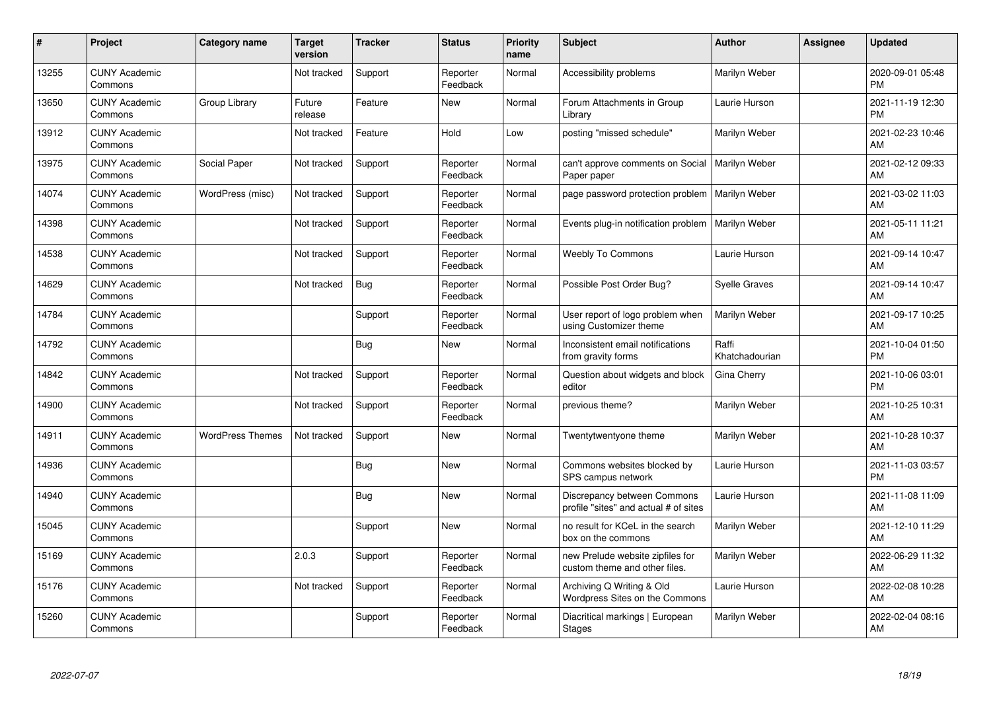| #     | Project                         | <b>Category name</b>    | <b>Target</b><br>version | <b>Tracker</b> | <b>Status</b>        | <b>Priority</b><br>name | <b>Subject</b>                                                       | <b>Author</b>           | <b>Assignee</b> | <b>Updated</b>                |
|-------|---------------------------------|-------------------------|--------------------------|----------------|----------------------|-------------------------|----------------------------------------------------------------------|-------------------------|-----------------|-------------------------------|
| 13255 | <b>CUNY Academic</b><br>Commons |                         | Not tracked              | Support        | Reporter<br>Feedback | Normal                  | Accessibility problems                                               | Marilyn Weber           |                 | 2020-09-01 05:48<br><b>PM</b> |
| 13650 | <b>CUNY Academic</b><br>Commons | Group Library           | Future<br>release        | Feature        | New                  | Normal                  | Forum Attachments in Group<br>Library                                | Laurie Hurson           |                 | 2021-11-19 12:30<br><b>PM</b> |
| 13912 | <b>CUNY Academic</b><br>Commons |                         | Not tracked              | Feature        | Hold                 | Low                     | posting "missed schedule"                                            | Marilyn Weber           |                 | 2021-02-23 10:46<br>AM        |
| 13975 | <b>CUNY Academic</b><br>Commons | Social Paper            | Not tracked              | Support        | Reporter<br>Feedback | Normal                  | can't approve comments on Social<br>Paper paper                      | Marilyn Weber           |                 | 2021-02-12 09:33<br>AM        |
| 14074 | <b>CUNY Academic</b><br>Commons | WordPress (misc)        | Not tracked              | Support        | Reporter<br>Feedback | Normal                  | page password protection problem                                     | Marilyn Weber           |                 | 2021-03-02 11:03<br>AM        |
| 14398 | <b>CUNY Academic</b><br>Commons |                         | Not tracked              | Support        | Reporter<br>Feedback | Normal                  | Events plug-in notification problem                                  | Marilyn Weber           |                 | 2021-05-11 11:21<br>AM        |
| 14538 | <b>CUNY Academic</b><br>Commons |                         | Not tracked              | Support        | Reporter<br>Feedback | Normal                  | <b>Weebly To Commons</b>                                             | Laurie Hurson           |                 | 2021-09-14 10:47<br>AM        |
| 14629 | <b>CUNY Academic</b><br>Commons |                         | Not tracked              | Bug            | Reporter<br>Feedback | Normal                  | Possible Post Order Bug?                                             | <b>Syelle Graves</b>    |                 | 2021-09-14 10:47<br>AM        |
| 14784 | <b>CUNY Academic</b><br>Commons |                         |                          | Support        | Reporter<br>Feedback | Normal                  | User report of logo problem when<br>using Customizer theme           | Marilyn Weber           |                 | 2021-09-17 10:25<br>AM        |
| 14792 | <b>CUNY Academic</b><br>Commons |                         |                          | Bug            | <b>New</b>           | Normal                  | Inconsistent email notifications<br>from gravity forms               | Raffi<br>Khatchadourian |                 | 2021-10-04 01:50<br><b>PM</b> |
| 14842 | <b>CUNY Academic</b><br>Commons |                         | Not tracked              | Support        | Reporter<br>Feedback | Normal                  | Question about widgets and block<br>editor                           | Gina Cherry             |                 | 2021-10-06 03:01<br><b>PM</b> |
| 14900 | <b>CUNY Academic</b><br>Commons |                         | Not tracked              | Support        | Reporter<br>Feedback | Normal                  | previous theme?                                                      | Marilyn Weber           |                 | 2021-10-25 10:31<br>AM        |
| 14911 | <b>CUNY Academic</b><br>Commons | <b>WordPress Themes</b> | Not tracked              | Support        | <b>New</b>           | Normal                  | Twentytwentyone theme                                                | Marilyn Weber           |                 | 2021-10-28 10:37<br>AM        |
| 14936 | <b>CUNY Academic</b><br>Commons |                         |                          | <b>Bug</b>     | <b>New</b>           | Normal                  | Commons websites blocked by<br>SPS campus network                    | Laurie Hurson           |                 | 2021-11-03 03:57<br>PM        |
| 14940 | <b>CUNY Academic</b><br>Commons |                         |                          | <b>Bug</b>     | <b>New</b>           | Normal                  | Discrepancy between Commons<br>profile "sites" and actual # of sites | Laurie Hurson           |                 | 2021-11-08 11:09<br>AM        |
| 15045 | <b>CUNY Academic</b><br>Commons |                         |                          | Support        | New                  | Normal                  | no result for KCeL in the search<br>box on the commons               | Marilyn Weber           |                 | 2021-12-10 11:29<br>AM        |
| 15169 | <b>CUNY Academic</b><br>Commons |                         | 2.0.3                    | Support        | Reporter<br>Feedback | Normal                  | new Prelude website zipfiles for<br>custom theme and other files.    | Marilyn Weber           |                 | 2022-06-29 11:32<br>AM        |
| 15176 | <b>CUNY Academic</b><br>Commons |                         | Not tracked              | Support        | Reporter<br>Feedback | Normal                  | Archiving Q Writing & Old<br>Wordpress Sites on the Commons          | Laurie Hurson           |                 | 2022-02-08 10:28<br>AM        |
| 15260 | <b>CUNY Academic</b><br>Commons |                         |                          | Support        | Reporter<br>Feedback | Normal                  | Diacritical markings   European<br><b>Stages</b>                     | Marilyn Weber           |                 | 2022-02-04 08:16<br>AM        |